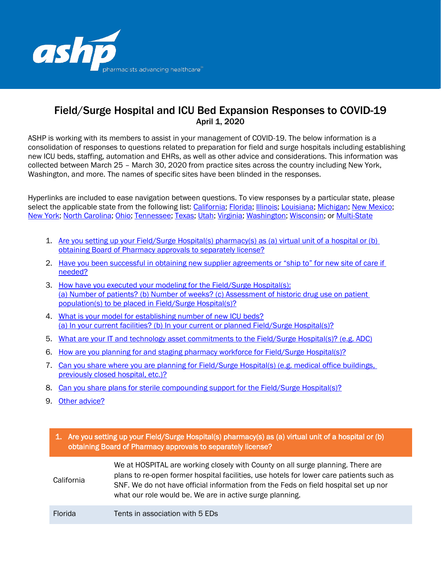

# Field/Surge Hospital and ICU Bed Expansion Responses to COVID-19 April 1, 2020

ASHP is working with its members to assist in your management of COVID-19. The below information is a consolidation of responses to questions related to preparation for field and surge hospitals including establishing new ICU beds, staffing, automation and EHRs, as well as other advice and considerations. This information was collected between March 25 – March 30, 2020 from practice sites across the country including New York, Washington, and more. The names of specific sites have been blinded in the responses.

Hyperlinks are included to ease navigation between questions. To view responses by a particular state, please select the applicable state from the following list: [California;](#page-14-0) [Florida;](#page-15-0) [Illinois;](#page-17-0) [Louisiana;](#page-19-0) [Michigan;](#page-20-0) [New Mexico;](#page-22-0) [New York;](#page-23-0) [North Carolina;](#page-25-0) [Ohio;](#page-27-0) [Tennessee;](#page-29-0) [Texas;](#page-30-0) [Utah;](#page-31-0) [Virginia;](#page-32-0) [Washington;](#page-33-0) [Wisconsin;](#page-35-0) or [Multi-State](#page-37-0)

- 1. [Are you setting up your Field/Surge Hospital\(s\) pharmacy\(s\) as \(a\) virtual unit of a hospital or \(b\)](#page-0-0)  [obtaining Board of Pharmacy approvals to separately license?](#page-0-0)
- 2. [Have you been successful in obtaining new supplier agreements or "ship to" for new site of care if](#page-2-0)  [needed?](#page-2-0)
- 3. [How have you executed your modeling for the Field/Surge Hospital\(s\):](#page-3-0) (a) Number of patients? (b) Number of weeks? [\(c\) Assessment of historic drug use on patient](#page-3-0)  [population\(s\) to be placed in Field/Surge Hospital\(s\)?](#page-3-0)
- 4. [What is your model for establishing number of new ICU beds?](#page-6-0) (a) In your current facilities? [\(b\) In your current or planned Field/Surge Hospital\(s\)?](#page-6-0)
- 5. [What are your IT and technology asset commitments to the Field/Surge Hospital\(s\)? \(e.g. ADC\)](#page-7-0)
- 6. [How are you planning for and staging pharmacy workforce for Field/Surge Hospital\(s\)?](#page-8-0)
- 7. [Can you share where you are planning for Field/Surge Hospital\(s\) \(e.g. medical office buildings,](#page-10-0)  [previously closed hospital, etc.\)?](#page-10-0)
- 8. [Can you share plans for sterile compounding support for the Field/Surge Hospital\(s\)?](#page-11-0)
- 9. [Other advice?](#page-12-0)

<span id="page-0-0"></span>

| 1. Are you setting up your Field/Surge Hospital(s) pharmacy(s) as (a) virtual unit of a hospital or (b)<br>obtaining Board of Pharmacy approvals to separately license? |                                                                                                                                                                                                                                                                                                                               |  |  |
|-------------------------------------------------------------------------------------------------------------------------------------------------------------------------|-------------------------------------------------------------------------------------------------------------------------------------------------------------------------------------------------------------------------------------------------------------------------------------------------------------------------------|--|--|
| California                                                                                                                                                              | We at HOSPITAL are working closely with County on all surge planning. There are<br>plans to re-open former hospital facilities, use hotels for lower care patients such as<br>SNF. We do not have official information from the Feds on field hospital set up nor<br>what our role would be. We are in active surge planning. |  |  |
| <b>Florida</b>                                                                                                                                                          | Tents in association with 5 EDs                                                                                                                                                                                                                                                                                               |  |  |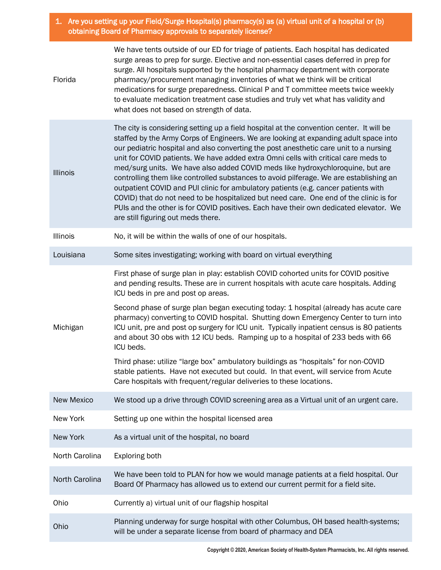1. Are you setting up your Field/Surge Hospital(s) pharmacy(s) as (a) virtual unit of a hospital or (b) obtaining Board of Pharmacy approvals to separately license?

| Florida           | We have tents outside of our ED for triage of patients. Each hospital has dedicated<br>surge areas to prep for surge. Elective and non-essential cases deferred in prep for<br>surge. All hospitals supported by the hospital pharmacy department with corporate<br>pharmacy/procurement managing inventories of what we think will be critical<br>medications for surge preparedness. Clinical P and T committee meets twice weekly<br>to evaluate medication treatment case studies and truly vet what has validity and<br>what does not based on strength of data.                                                                                                                                                                                                                                                                                      |  |  |  |
|-------------------|------------------------------------------------------------------------------------------------------------------------------------------------------------------------------------------------------------------------------------------------------------------------------------------------------------------------------------------------------------------------------------------------------------------------------------------------------------------------------------------------------------------------------------------------------------------------------------------------------------------------------------------------------------------------------------------------------------------------------------------------------------------------------------------------------------------------------------------------------------|--|--|--|
| <b>Illinois</b>   | The city is considering setting up a field hospital at the convention center. It will be<br>staffed by the Army Corps of Engineers. We are looking at expanding adult space into<br>our pediatric hospital and also converting the post anesthetic care unit to a nursing<br>unit for COVID patients. We have added extra Omni cells with critical care meds to<br>med/surg units. We have also added COVID meds like hydroxychloroquine, but are<br>controlling them like controlled substances to avoid pilferage. We are establishing an<br>outpatient COVID and PUI clinic for ambulatory patients (e.g. cancer patients with<br>COVID) that do not need to be hospitalized but need care. One end of the clinic is for<br>PUIs and the other is for COVID positives. Each have their own dedicated elevator. We<br>are still figuring out meds there. |  |  |  |
| Illinois          | No, it will be within the walls of one of our hospitals.                                                                                                                                                                                                                                                                                                                                                                                                                                                                                                                                                                                                                                                                                                                                                                                                   |  |  |  |
| Louisiana         | Some sites investigating; working with board on virtual everything                                                                                                                                                                                                                                                                                                                                                                                                                                                                                                                                                                                                                                                                                                                                                                                         |  |  |  |
| Michigan          | First phase of surge plan in play: establish COVID cohorted units for COVID positive<br>and pending results. These are in current hospitals with acute care hospitals. Adding<br>ICU beds in pre and post op areas.                                                                                                                                                                                                                                                                                                                                                                                                                                                                                                                                                                                                                                        |  |  |  |
|                   | Second phase of surge plan began executing today: 1 hospital (already has acute care<br>pharmacy) converting to COVID hospital. Shutting down Emergency Center to turn into<br>ICU unit, pre and post op surgery for ICU unit. Typically inpatient census is 80 patients<br>and about 30 obs with 12 ICU beds. Ramping up to a hospital of 233 beds with 66<br>ICU beds.                                                                                                                                                                                                                                                                                                                                                                                                                                                                                   |  |  |  |
|                   | Third phase: utilize "large box" ambulatory buildings as "hospitals" for non-COVID<br>stable patients. Have not executed but could. In that event, will service from Acute<br>Care hospitals with frequent/regular deliveries to these locations.                                                                                                                                                                                                                                                                                                                                                                                                                                                                                                                                                                                                          |  |  |  |
| <b>New Mexico</b> | We stood up a drive through COVID screening area as a Virtual unit of an urgent care.                                                                                                                                                                                                                                                                                                                                                                                                                                                                                                                                                                                                                                                                                                                                                                      |  |  |  |
| New York          | Setting up one within the hospital licensed area                                                                                                                                                                                                                                                                                                                                                                                                                                                                                                                                                                                                                                                                                                                                                                                                           |  |  |  |
| New York          | As a virtual unit of the hospital, no board                                                                                                                                                                                                                                                                                                                                                                                                                                                                                                                                                                                                                                                                                                                                                                                                                |  |  |  |
| North Carolina    | Exploring both                                                                                                                                                                                                                                                                                                                                                                                                                                                                                                                                                                                                                                                                                                                                                                                                                                             |  |  |  |
| North Carolina    | We have been told to PLAN for how we would manage patients at a field hospital. Our<br>Board Of Pharmacy has allowed us to extend our current permit for a field site.                                                                                                                                                                                                                                                                                                                                                                                                                                                                                                                                                                                                                                                                                     |  |  |  |
| Ohio              | Currently a) virtual unit of our flagship hospital                                                                                                                                                                                                                                                                                                                                                                                                                                                                                                                                                                                                                                                                                                                                                                                                         |  |  |  |
| Ohio              | Planning underway for surge hospital with other Columbus, OH based health-systems;<br>will be under a separate license from board of pharmacy and DEA                                                                                                                                                                                                                                                                                                                                                                                                                                                                                                                                                                                                                                                                                                      |  |  |  |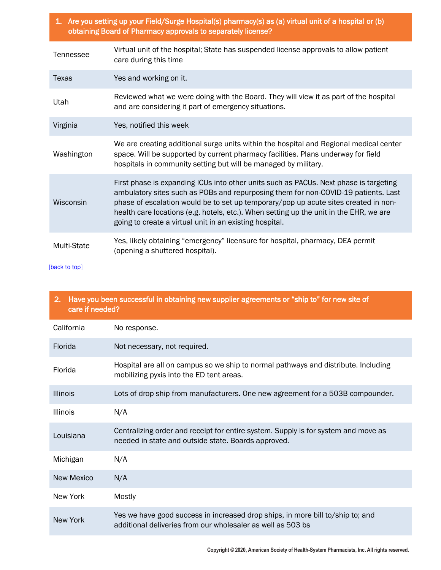| 1. Are you setting up your Field/Surge Hospital(s) pharmacy(s) as (a) virtual unit of a hospital or (b) |
|---------------------------------------------------------------------------------------------------------|
| l obtaining Board of Pharmacy approvals to separately license?                                          |

| Tennessee   | Virtual unit of the hospital; State has suspended license approvals to allow patient<br>care during this time                                                                                                                                                                                                                                                                                                           |  |  |
|-------------|-------------------------------------------------------------------------------------------------------------------------------------------------------------------------------------------------------------------------------------------------------------------------------------------------------------------------------------------------------------------------------------------------------------------------|--|--|
| Texas       | Yes and working on it.                                                                                                                                                                                                                                                                                                                                                                                                  |  |  |
| Utah        | Reviewed what we were doing with the Board. They will view it as part of the hospital<br>and are considering it part of emergency situations.                                                                                                                                                                                                                                                                           |  |  |
| Virginia    | Yes, notified this week                                                                                                                                                                                                                                                                                                                                                                                                 |  |  |
| Washington  | We are creating additional surge units within the hospital and Regional medical center<br>space. Will be supported by current pharmacy facilities. Plans underway for field<br>hospitals in community setting but will be managed by military.                                                                                                                                                                          |  |  |
| Wisconsin   | First phase is expanding ICUs into other units such as PACUs. Next phase is targeting<br>ambulatory sites such as POBs and repurposing them for non-COVID-19 patients. Last<br>phase of escalation would be to set up temporary/pop up acute sites created in non-<br>health care locations (e.g. hotels, etc.). When setting up the unit in the EHR, we are<br>going to create a virtual unit in an existing hospital. |  |  |
| Multi-State | Yes, likely obtaining "emergency" licensure for hospital, pharmacy, DEA permit<br>(opening a shuttered hospital).                                                                                                                                                                                                                                                                                                       |  |  |

<span id="page-2-0"></span>

| Have you been successful in obtaining new supplier agreements or "ship to" for new site of<br>2.<br>care if needed? |                                                                                                                                               |  |  |  |
|---------------------------------------------------------------------------------------------------------------------|-----------------------------------------------------------------------------------------------------------------------------------------------|--|--|--|
| California                                                                                                          | No response.                                                                                                                                  |  |  |  |
| Florida                                                                                                             | Not necessary, not required.                                                                                                                  |  |  |  |
| Florida                                                                                                             | Hospital are all on campus so we ship to normal pathways and distribute. Including<br>mobilizing pyxis into the ED tent areas.                |  |  |  |
| <b>Illinois</b>                                                                                                     | Lots of drop ship from manufacturers. One new agreement for a 503B compounder.                                                                |  |  |  |
| <b>Illinois</b>                                                                                                     | N/A                                                                                                                                           |  |  |  |
| Louisiana                                                                                                           | Centralizing order and receipt for entire system. Supply is for system and move as<br>needed in state and outside state. Boards approved.     |  |  |  |
| Michigan                                                                                                            | N/A                                                                                                                                           |  |  |  |
| <b>New Mexico</b>                                                                                                   | N/A                                                                                                                                           |  |  |  |
| New York                                                                                                            | Mostly                                                                                                                                        |  |  |  |
| <b>New York</b>                                                                                                     | Yes we have good success in increased drop ships, in more bill to/ship to; and<br>additional deliveries from our wholesaler as well as 503 bs |  |  |  |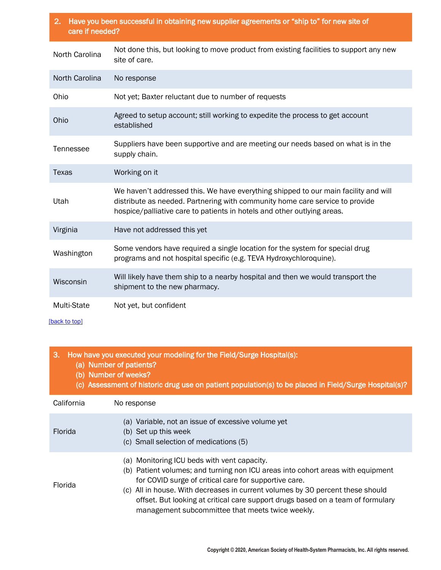| Have you been successful in obtaining new supplier agreements or "ship to" for new site of<br>2.<br>care if needed? |                                                                                                                                                                                                                                                |  |  |
|---------------------------------------------------------------------------------------------------------------------|------------------------------------------------------------------------------------------------------------------------------------------------------------------------------------------------------------------------------------------------|--|--|
| North Carolina                                                                                                      | Not done this, but looking to move product from existing facilities to support any new<br>site of care.                                                                                                                                        |  |  |
| North Carolina                                                                                                      | No response                                                                                                                                                                                                                                    |  |  |
| Ohio                                                                                                                | Not yet; Baxter reluctant due to number of requests                                                                                                                                                                                            |  |  |
| Ohio                                                                                                                | Agreed to setup account; still working to expedite the process to get account<br>established                                                                                                                                                   |  |  |
| Tennessee                                                                                                           | Suppliers have been supportive and are meeting our needs based on what is in the<br>supply chain.                                                                                                                                              |  |  |
| <b>Texas</b>                                                                                                        | Working on it                                                                                                                                                                                                                                  |  |  |
| Utah                                                                                                                | We haven't addressed this. We have everything shipped to our main facility and will<br>distribute as needed. Partnering with community home care service to provide<br>hospice/palliative care to patients in hotels and other outlying areas. |  |  |
| Virginia                                                                                                            | Have not addressed this yet                                                                                                                                                                                                                    |  |  |
| Washington                                                                                                          | Some vendors have required a single location for the system for special drug<br>programs and not hospital specific (e.g. TEVA Hydroxychloroquine).                                                                                             |  |  |
| Wisconsin                                                                                                           | Will likely have them ship to a nearby hospital and then we would transport the<br>shipment to the new pharmacy.                                                                                                                               |  |  |
|                                                                                                                     |                                                                                                                                                                                                                                                |  |  |

Multi-State Not yet, but confident

[back to top]

# <span id="page-3-0"></span>3. How have you executed your modeling for the Field/Surge Hospital(s):

- (a) Number of patients?
- (b) Number of weeks?
- (c) Assessment of historic drug use on patient population(s) to be placed in Field/Surge Hospital(s)?

| California     | No response                                                                                                                                                                                                                                                                                                                                                                                                      |  |  |  |
|----------------|------------------------------------------------------------------------------------------------------------------------------------------------------------------------------------------------------------------------------------------------------------------------------------------------------------------------------------------------------------------------------------------------------------------|--|--|--|
| <b>Florida</b> | (a) Variable, not an issue of excessive volume yet<br>(b) Set up this week<br>(c) Small selection of medications (5)                                                                                                                                                                                                                                                                                             |  |  |  |
| <b>Florida</b> | (a) Monitoring ICU beds with vent capacity.<br>(b) Patient volumes; and turning non ICU areas into cohort areas with equipment<br>for COVID surge of critical care for supportive care.<br>(c) All in house. With decreases in current volumes by 30 percent these should<br>offset. But looking at critical care support drugs based on a team of formulary<br>management subcommittee that meets twice weekly. |  |  |  |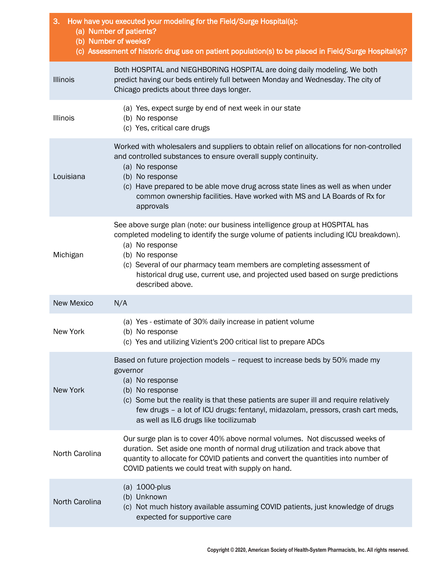| 3.<br>How have you executed your modeling for the Field/Surge Hospital(s):<br>(a) Number of patients?<br>(b) Number of weeks?<br>(c) Assessment of historic drug use on patient population(s) to be placed in Field/Surge Hospital(s)? |                                                                                                                                                                                                                                                                                                                                                                                            |  |  |  |
|----------------------------------------------------------------------------------------------------------------------------------------------------------------------------------------------------------------------------------------|--------------------------------------------------------------------------------------------------------------------------------------------------------------------------------------------------------------------------------------------------------------------------------------------------------------------------------------------------------------------------------------------|--|--|--|
| <b>Illinois</b>                                                                                                                                                                                                                        | Both HOSPITAL and NIEGHBORING HOSPITAL are doing daily modeling. We both<br>predict having our beds entirely full between Monday and Wednesday. The city of<br>Chicago predicts about three days longer.                                                                                                                                                                                   |  |  |  |
| <b>Illinois</b>                                                                                                                                                                                                                        | (a) Yes, expect surge by end of next week in our state<br>(b) No response<br>(c) Yes, critical care drugs                                                                                                                                                                                                                                                                                  |  |  |  |
| Louisiana                                                                                                                                                                                                                              | Worked with wholesalers and suppliers to obtain relief on allocations for non-controlled<br>and controlled substances to ensure overall supply continuity.<br>(a) No response<br>(b) No response<br>(c) Have prepared to be able move drug across state lines as well as when under<br>common ownership facilities. Have worked with MS and LA Boards of Rx for<br>approvals               |  |  |  |
| Michigan                                                                                                                                                                                                                               | See above surge plan (note: our business intelligence group at HOSPITAL has<br>completed modeling to identify the surge volume of patients including ICU breakdown).<br>(a) No response<br>(b) No response<br>(c) Several of our pharmacy team members are completing assessment of<br>historical drug use, current use, and projected used based on surge predictions<br>described above. |  |  |  |
| <b>New Mexico</b>                                                                                                                                                                                                                      | N/A                                                                                                                                                                                                                                                                                                                                                                                        |  |  |  |
| New York                                                                                                                                                                                                                               | (a) Yes - estimate of 30% daily increase in patient volume<br>(b) No response<br>(c) Yes and utilizing Vizient's 200 critical list to prepare ADCs                                                                                                                                                                                                                                         |  |  |  |
| <b>New York</b>                                                                                                                                                                                                                        | Based on future projection models - request to increase beds by 50% made my<br>governor<br>(a) No response<br>(b) No response<br>(c) Some but the reality is that these patients are super ill and require relatively<br>few drugs - a lot of ICU drugs: fentanyl, midazolam, pressors, crash cart meds,<br>as well as IL6 drugs like tocilizumab                                          |  |  |  |
| North Carolina                                                                                                                                                                                                                         | Our surge plan is to cover 40% above normal volumes. Not discussed weeks of<br>duration. Set aside one month of normal drug utilization and track above that<br>quantity to allocate for COVID patients and convert the quantities into number of<br>COVID patients we could treat with supply on hand.                                                                                    |  |  |  |
| North Carolina                                                                                                                                                                                                                         | (a) 1000-plus<br>(b) Unknown<br>(c) Not much history available assuming COVID patients, just knowledge of drugs<br>expected for supportive care                                                                                                                                                                                                                                            |  |  |  |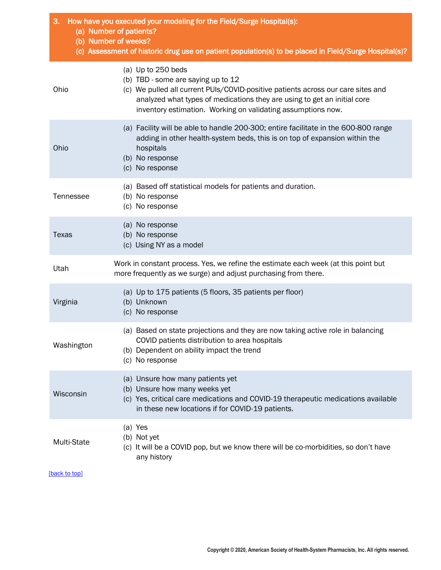| How have you executed your modeling for the Field/Surge Hospital(s):<br>3.<br>(a) Number of patients?<br>(b) Number of weeks? |                                                                                                                                                                                                                                                                                          |  |  |
|-------------------------------------------------------------------------------------------------------------------------------|------------------------------------------------------------------------------------------------------------------------------------------------------------------------------------------------------------------------------------------------------------------------------------------|--|--|
|                                                                                                                               | (c) Assessment of historic drug use on patient population(s) to be placed in Field/Surge Hospital(s)?                                                                                                                                                                                    |  |  |
| Ohio                                                                                                                          | (a) Up to 250 beds<br>(b) TBD - some are saying up to 12<br>(c) We pulled all current PUIs/COVID-positive patients across our care sites and<br>analyzed what types of medications they are using to get an initial core<br>inventory estimation. Working on validating assumptions now. |  |  |
| Ohio                                                                                                                          | (a) Facility will be able to handle 200-300; entire facilitate in the 600-800 range<br>adding in other health-system beds, this is on top of expansion within the<br>hospitals<br>(b) No response<br>(c) No response                                                                     |  |  |
| Tennessee                                                                                                                     | (a) Based off statistical models for patients and duration.<br>(b) No response<br>(c) No response                                                                                                                                                                                        |  |  |
| Texas                                                                                                                         | (a) No response<br>(b) No response<br>(c) Using NY as a model                                                                                                                                                                                                                            |  |  |
| Utah                                                                                                                          | Work in constant process. Yes, we refine the estimate each week (at this point but<br>more frequently as we surge) and adjust purchasing from there.                                                                                                                                     |  |  |
| Virginia                                                                                                                      | (a) Up to 175 patients (5 floors, 35 patients per floor)<br>(b) Unknown<br>(c) No response                                                                                                                                                                                               |  |  |
| Washington                                                                                                                    | (a) Based on state projections and they are now taking active role in balancing<br>COVID patients distribution to area hospitals<br>(b) Dependent on ability impact the trend<br>(c) No response                                                                                         |  |  |
| Wisconsin                                                                                                                     | (a) Unsure how many patients yet<br>(b) Unsure how many weeks yet<br>(c) Yes, critical care medications and COVID-19 therapeutic medications available<br>in these new locations if for COVID-19 patients.                                                                               |  |  |
| Multi-State                                                                                                                   | (a) Yes<br>(b) Not yet<br>(c) It will be a COVID pop, but we know there will be co-morbidities, so don't have<br>any history                                                                                                                                                             |  |  |
| [back to top]                                                                                                                 |                                                                                                                                                                                                                                                                                          |  |  |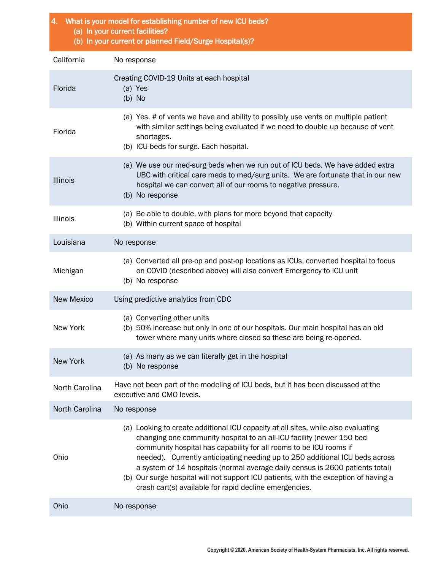<span id="page-6-0"></span>

| 4. What is your model for establishing number of new ICU beds?<br>(a) In your current facilities?<br>(b) In your current or planned Field/Surge Hospital(s)? |                                                                                                                                                                                                                                                                                                                                                                                                                                                                                                                                                     |  |  |
|--------------------------------------------------------------------------------------------------------------------------------------------------------------|-----------------------------------------------------------------------------------------------------------------------------------------------------------------------------------------------------------------------------------------------------------------------------------------------------------------------------------------------------------------------------------------------------------------------------------------------------------------------------------------------------------------------------------------------------|--|--|
| California                                                                                                                                                   | No response                                                                                                                                                                                                                                                                                                                                                                                                                                                                                                                                         |  |  |
| Florida                                                                                                                                                      | Creating COVID-19 Units at each hospital<br>(a) Yes<br>$(b)$ No                                                                                                                                                                                                                                                                                                                                                                                                                                                                                     |  |  |
| Florida                                                                                                                                                      | (a) Yes. # of vents we have and ability to possibly use vents on multiple patient<br>with similar settings being evaluated if we need to double up because of vent<br>shortages.<br>(b) ICU beds for surge. Each hospital.                                                                                                                                                                                                                                                                                                                          |  |  |
| <b>Illinois</b>                                                                                                                                              | (a) We use our med-surg beds when we run out of ICU beds. We have added extra<br>UBC with critical care meds to med/surg units. We are fortunate that in our new<br>hospital we can convert all of our rooms to negative pressure.<br>(b) No response                                                                                                                                                                                                                                                                                               |  |  |
| Illinois                                                                                                                                                     | (a) Be able to double, with plans for more beyond that capacity<br>(b) Within current space of hospital                                                                                                                                                                                                                                                                                                                                                                                                                                             |  |  |
| Louisiana                                                                                                                                                    | No response                                                                                                                                                                                                                                                                                                                                                                                                                                                                                                                                         |  |  |
| Michigan                                                                                                                                                     | (a) Converted all pre-op and post-op locations as ICUs, converted hospital to focus<br>on COVID (described above) will also convert Emergency to ICU unit<br>(b) No response                                                                                                                                                                                                                                                                                                                                                                        |  |  |
| <b>New Mexico</b>                                                                                                                                            | Using predictive analytics from CDC                                                                                                                                                                                                                                                                                                                                                                                                                                                                                                                 |  |  |
| New York                                                                                                                                                     | (a) Converting other units<br>(b) 50% increase but only in one of our hospitals. Our main hospital has an old<br>tower where many units where closed so these are being re-opened.                                                                                                                                                                                                                                                                                                                                                                  |  |  |
| New York                                                                                                                                                     | (a) As many as we can literally get in the hospital<br>(b) No response                                                                                                                                                                                                                                                                                                                                                                                                                                                                              |  |  |
| North Carolina                                                                                                                                               | Have not been part of the modeling of ICU beds, but it has been discussed at the<br>executive and CMO levels.                                                                                                                                                                                                                                                                                                                                                                                                                                       |  |  |
| North Carolina                                                                                                                                               | No response                                                                                                                                                                                                                                                                                                                                                                                                                                                                                                                                         |  |  |
| Ohio                                                                                                                                                         | (a) Looking to create additional ICU capacity at all sites, while also evaluating<br>changing one community hospital to an all-ICU facility (newer 150 bed<br>community hospital has capability for all rooms to be ICU rooms if<br>needed). Currently anticipating needing up to 250 additional ICU beds across<br>a system of 14 hospitals (normal average daily census is 2600 patients total)<br>(b) Our surge hospital will not support ICU patients, with the exception of having a<br>crash cart(s) available for rapid decline emergencies. |  |  |
| Ohio                                                                                                                                                         | No response                                                                                                                                                                                                                                                                                                                                                                                                                                                                                                                                         |  |  |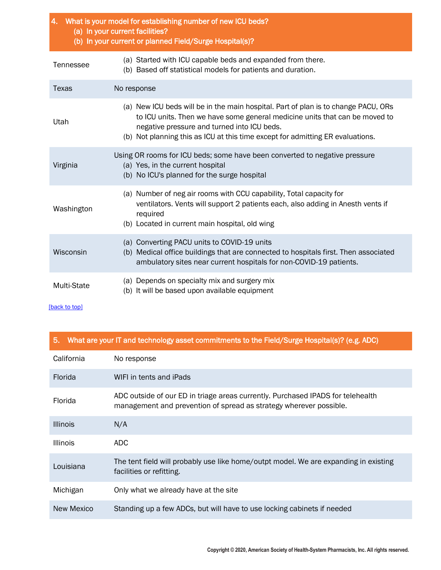| 4. What is your model for establishing number of new ICU beds?<br>(a) In your current facilities?<br>(b) In your current or planned Field/Surge Hospital(s)? |                                                                                                                                                                                                                                                                                                    |  |  |  |
|--------------------------------------------------------------------------------------------------------------------------------------------------------------|----------------------------------------------------------------------------------------------------------------------------------------------------------------------------------------------------------------------------------------------------------------------------------------------------|--|--|--|
| Tennessee                                                                                                                                                    | (a) Started with ICU capable beds and expanded from there.<br>(b) Based off statistical models for patients and duration.                                                                                                                                                                          |  |  |  |
| <b>Texas</b>                                                                                                                                                 | No response                                                                                                                                                                                                                                                                                        |  |  |  |
| Utah                                                                                                                                                         | (a) New ICU beds will be in the main hospital. Part of plan is to change PACU, ORs<br>to ICU units. Then we have some general medicine units that can be moved to<br>negative pressure and turned into ICU beds.<br>(b) Not planning this as ICU at this time except for admitting ER evaluations. |  |  |  |
| Virginia                                                                                                                                                     | Using OR rooms for ICU beds; some have been converted to negative pressure<br>(a) Yes, in the current hospital<br>(b) No ICU's planned for the surge hospital                                                                                                                                      |  |  |  |
| Washington                                                                                                                                                   | (a) Number of neg air rooms with CCU capability, Total capacity for<br>ventilators. Vents will support 2 patients each, also adding in Anesth vents if<br>required<br>(b) Located in current main hospital, old wing                                                                               |  |  |  |
| Wisconsin                                                                                                                                                    | (a) Converting PACU units to COVID-19 units<br>(b) Medical office buildings that are connected to hospitals first. Then associated<br>ambulatory sites near current hospitals for non-COVID-19 patients.                                                                                           |  |  |  |
| <b>Multi-State</b>                                                                                                                                           | (a) Depends on specialty mix and surgery mix<br>(b) It will be based upon available equipment                                                                                                                                                                                                      |  |  |  |

<span id="page-7-0"></span>

|  |  |  | 5. What are your IT and technology asset commitments to the Field/Surge Hospital(s)? (e.g. ADC) |  |  |
|--|--|--|-------------------------------------------------------------------------------------------------|--|--|
|--|--|--|-------------------------------------------------------------------------------------------------|--|--|

| California      | No response                                                                                                                                           |
|-----------------|-------------------------------------------------------------------------------------------------------------------------------------------------------|
| Florida         | WIFI in tents and iPads                                                                                                                               |
| Florida         | ADC outside of our ED in triage areas currently. Purchased IPADS for telehealth<br>management and prevention of spread as strategy wherever possible. |
| <b>Illinois</b> | N/A                                                                                                                                                   |
| <b>Illinois</b> | ADC.                                                                                                                                                  |
| Louisiana       | The tent field will probably use like home/outpt model. We are expanding in existing<br>facilities or refitting.                                      |
| Michigan        | Only what we already have at the site                                                                                                                 |
| New Mexico      | Standing up a few ADCs, but will have to use locking cabinets if needed                                                                               |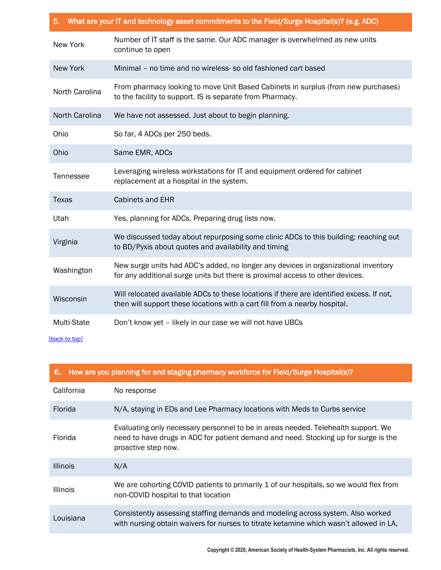| What are your IT and technology asset commitments to the Field/Surge Hospital(s)? (e.g. ADC)<br>5. |                                                                                                                                                                        |  |
|----------------------------------------------------------------------------------------------------|------------------------------------------------------------------------------------------------------------------------------------------------------------------------|--|
| New York                                                                                           | Number of IT staff is the same. Our ADC manager is overwhelmed as new units<br>continue to open                                                                        |  |
| New York                                                                                           | Minimal - no time and no wireless- so old fashioned cart based                                                                                                         |  |
| North Carolina                                                                                     | From pharmacy looking to move Unit Based Cabinets in surplus (from new purchases)<br>to the facility to support. IS is separate from Pharmacy.                         |  |
| North Carolina                                                                                     | We have not assessed. Just about to begin planning.                                                                                                                    |  |
| Ohio                                                                                               | So far, 4 ADCs per 250 beds.                                                                                                                                           |  |
| Ohio                                                                                               | Same EMR, ADCs                                                                                                                                                         |  |
| Tennessee                                                                                          | Leveraging wireless workstations for IT and equipment ordered for cabinet<br>replacement at a hospital in the system.                                                  |  |
| <b>Texas</b>                                                                                       | Cabinets and EHR                                                                                                                                                       |  |
| Utah                                                                                               | Yes, planning for ADCs. Preparing drug lists now.                                                                                                                      |  |
| Virginia                                                                                           | We discussed today about repurposing some clinic ADCs to this building; reaching out<br>to BD/Pyxis about quotes and availability and timing                           |  |
| Washington                                                                                         | New surge units had ADC's added, no longer any devices in organizational inventory<br>for any additional surge units but there is proximal access to other devices.    |  |
| Wisconsin                                                                                          | Will relocated available ADCs to these locations if there are identified excess. If not,<br>then will support these locations with a cart fill from a nearby hospital. |  |
| Multi-State<br>[back to top]                                                                       | Don't know yet - likely in our case we will not have UBCs                                                                                                              |  |

<span id="page-8-0"></span>

| 6.              | How are you planning for and staging pharmacy workforce for Field/Surge Hospital(s)?                                                                                                            |
|-----------------|-------------------------------------------------------------------------------------------------------------------------------------------------------------------------------------------------|
| California      | No response                                                                                                                                                                                     |
| <b>Florida</b>  | N/A, staying in EDs and Lee Pharmacy locations with Meds to Curbs service                                                                                                                       |
| Florida         | Evaluating only necessary personnel to be in areas needed. Telehealth support. We<br>need to have drugs in ADC for patient demand and need. Stocking up for surge is the<br>proactive step now. |
| <b>Illinois</b> | N/A                                                                                                                                                                                             |
| <b>Illinois</b> | We are cohorting COVID patients to primarily 1 of our hospitals, so we would flex from<br>non-COVID hospital to that location                                                                   |
| Louisiana       | Consistently assessing staffing demands and modeling across system. Also worked<br>with nursing obtain waivers for nurses to titrate ketamine which wasn't allowed in LA,                       |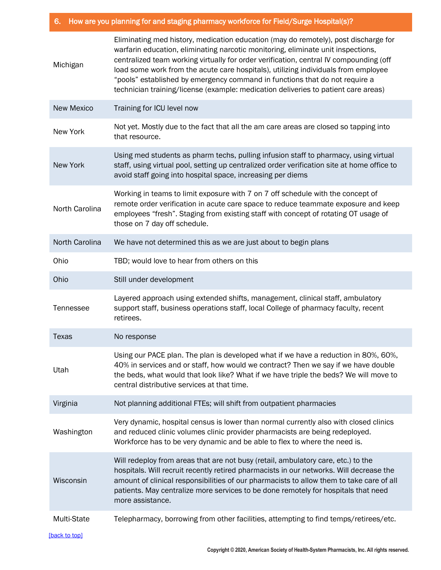# 6. How are you planning for and staging pharmacy workforce for Field/Surge Hospital(s)?

| Michigan          | Eliminating med history, medication education (may do remotely), post discharge for<br>warfarin education, eliminating narcotic monitoring, eliminate unit inspections,<br>centralized team working virtually for order verification, central IV compounding (off<br>load some work from the acute care hospitals), utilizing individuals from employee<br>"pools" established by emergency command in functions that do not require a<br>technician training/license (example: medication deliveries to patient care areas) |
|-------------------|------------------------------------------------------------------------------------------------------------------------------------------------------------------------------------------------------------------------------------------------------------------------------------------------------------------------------------------------------------------------------------------------------------------------------------------------------------------------------------------------------------------------------|
| <b>New Mexico</b> | Training for ICU level now                                                                                                                                                                                                                                                                                                                                                                                                                                                                                                   |
| New York          | Not yet. Mostly due to the fact that all the am care areas are closed so tapping into<br>that resource.                                                                                                                                                                                                                                                                                                                                                                                                                      |
| <b>New York</b>   | Using med students as pharm techs, pulling infusion staff to pharmacy, using virtual<br>staff, using virtual pool, setting up centralized order verification site at home office to<br>avoid staff going into hospital space, increasing per diems                                                                                                                                                                                                                                                                           |
| North Carolina    | Working in teams to limit exposure with 7 on 7 off schedule with the concept of<br>remote order verification in acute care space to reduce teammate exposure and keep<br>employees "fresh". Staging from existing staff with concept of rotating OT usage of<br>those on 7 day off schedule.                                                                                                                                                                                                                                 |
| North Carolina    | We have not determined this as we are just about to begin plans                                                                                                                                                                                                                                                                                                                                                                                                                                                              |
| Ohio              | TBD; would love to hear from others on this                                                                                                                                                                                                                                                                                                                                                                                                                                                                                  |
| Ohio              | Still under development                                                                                                                                                                                                                                                                                                                                                                                                                                                                                                      |
| Tennessee         | Layered approach using extended shifts, management, clinical staff, ambulatory<br>support staff, business operations staff, local College of pharmacy faculty, recent<br>retirees.                                                                                                                                                                                                                                                                                                                                           |
| Texas             | No response                                                                                                                                                                                                                                                                                                                                                                                                                                                                                                                  |
| Utah              | Using our PACE plan. The plan is developed what if we have a reduction in 80%, 60%,<br>40% in services and or staff, how would we contract? Then we say if we have double<br>the beds, what would that look like? What if we have triple the beds? We will move to<br>central distributive services at that time.                                                                                                                                                                                                            |
| Virginia          | Not planning additional FTEs; will shift from outpatient pharmacies                                                                                                                                                                                                                                                                                                                                                                                                                                                          |
| Washington        | Very dynamic, hospital census is lower than normal currently also with closed clinics<br>and reduced clinic volumes clinic provider pharmacists are being redeployed.<br>Workforce has to be very dynamic and be able to flex to where the need is.                                                                                                                                                                                                                                                                          |
| Wisconsin         | Will redeploy from areas that are not busy (retail, ambulatory care, etc.) to the<br>hospitals. Will recruit recently retired pharmacists in our networks. Will decrease the<br>amount of clinical responsibilities of our pharmacists to allow them to take care of all<br>patients. May centralize more services to be done remotely for hospitals that need<br>more assistance.                                                                                                                                           |
| Multi-State       | Telepharmacy, borrowing from other facilities, attempting to find temps/retirees/etc.                                                                                                                                                                                                                                                                                                                                                                                                                                        |
| [back to top]     |                                                                                                                                                                                                                                                                                                                                                                                                                                                                                                                              |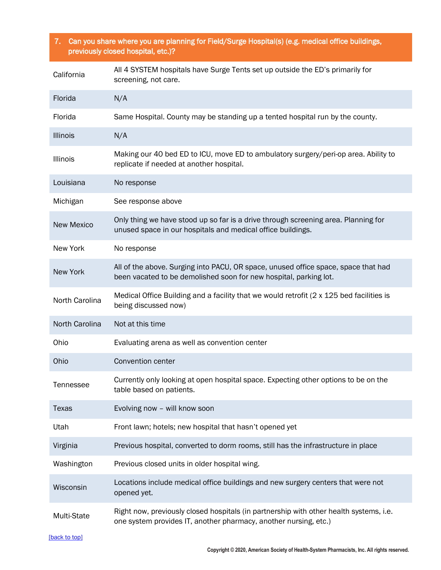# <span id="page-10-0"></span>7. Can you share where you are planning for Field/Surge Hospital(s) (e.g. medical office buildings, previously closed hospital, etc.)?

| California        | All 4 SYSTEM hospitals have Surge Tents set up outside the ED's primarily for<br>screening, not care.                                                      |
|-------------------|------------------------------------------------------------------------------------------------------------------------------------------------------------|
| Florida           | N/A                                                                                                                                                        |
| Florida           | Same Hospital. County may be standing up a tented hospital run by the county.                                                                              |
| <b>Illinois</b>   | N/A                                                                                                                                                        |
| <b>Illinois</b>   | Making our 40 bed ED to ICU, move ED to ambulatory surgery/peri-op area. Ability to<br>replicate if needed at another hospital.                            |
| Louisiana         | No response                                                                                                                                                |
| Michigan          | See response above                                                                                                                                         |
| <b>New Mexico</b> | Only thing we have stood up so far is a drive through screening area. Planning for<br>unused space in our hospitals and medical office buildings.          |
| New York          | No response                                                                                                                                                |
| <b>New York</b>   | All of the above. Surging into PACU, OR space, unused office space, space that had<br>been vacated to be demolished soon for new hospital, parking lot.    |
| North Carolina    | Medical Office Building and a facility that we would retrofit (2 x 125 bed facilities is<br>being discussed now)                                           |
| North Carolina    | Not at this time                                                                                                                                           |
| Ohio              | Evaluating arena as well as convention center                                                                                                              |
| Ohio              | Convention center                                                                                                                                          |
| Tennessee         | Currently only looking at open hospital space. Expecting other options to be on the<br>table based on patients.                                            |
| Texas             | Evolving now - will know soon                                                                                                                              |
| Utah              | Front lawn; hotels; new hospital that hasn't opened yet                                                                                                    |
| Virginia          | Previous hospital, converted to dorm rooms, still has the infrastructure in place                                                                          |
| Washington        | Previous closed units in older hospital wing.                                                                                                              |
| Wisconsin         | Locations include medical office buildings and new surgery centers that were not<br>opened yet.                                                            |
| Multi-State       | Right now, previously closed hospitals (in partnership with other health systems, i.e.<br>one system provides IT, another pharmacy, another nursing, etc.) |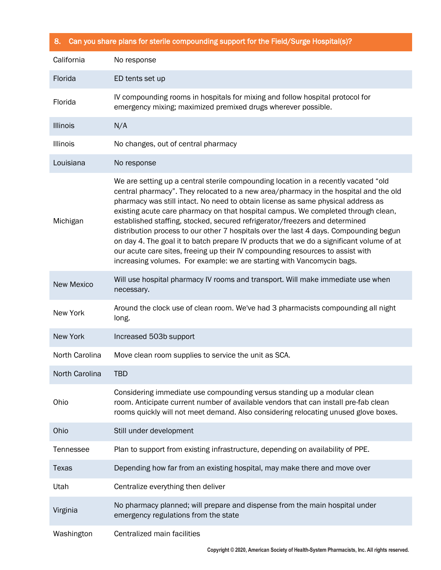<span id="page-11-0"></span>

|  |  |  |  | 8. Can you share plans for sterile compounding support for the Field/Surge Hospital(s)? |
|--|--|--|--|-----------------------------------------------------------------------------------------|
|--|--|--|--|-----------------------------------------------------------------------------------------|

| California        | No response                                                                                                                                                                                                                                                                                                                                                                                                                                                                                                                                                                                                                                                                                                                                                                          |
|-------------------|--------------------------------------------------------------------------------------------------------------------------------------------------------------------------------------------------------------------------------------------------------------------------------------------------------------------------------------------------------------------------------------------------------------------------------------------------------------------------------------------------------------------------------------------------------------------------------------------------------------------------------------------------------------------------------------------------------------------------------------------------------------------------------------|
| Florida           | ED tents set up                                                                                                                                                                                                                                                                                                                                                                                                                                                                                                                                                                                                                                                                                                                                                                      |
| Florida           | IV compounding rooms in hospitals for mixing and follow hospital protocol for<br>emergency mixing; maximized premixed drugs wherever possible.                                                                                                                                                                                                                                                                                                                                                                                                                                                                                                                                                                                                                                       |
| <b>Illinois</b>   | N/A                                                                                                                                                                                                                                                                                                                                                                                                                                                                                                                                                                                                                                                                                                                                                                                  |
| Illinois          | No changes, out of central pharmacy                                                                                                                                                                                                                                                                                                                                                                                                                                                                                                                                                                                                                                                                                                                                                  |
| Louisiana         | No response                                                                                                                                                                                                                                                                                                                                                                                                                                                                                                                                                                                                                                                                                                                                                                          |
| Michigan          | We are setting up a central sterile compounding location in a recently vacated "old<br>central pharmacy". They relocated to a new area/pharmacy in the hospital and the old<br>pharmacy was still intact. No need to obtain license as same physical address as<br>existing acute care pharmacy on that hospital campus. We completed through clean,<br>established staffing, stocked, secured refrigerator/freezers and determined<br>distribution process to our other 7 hospitals over the last 4 days. Compounding begun<br>on day 4. The goal it to batch prepare IV products that we do a significant volume of at<br>our acute care sites, freeing up their IV compounding resources to assist with<br>increasing volumes. For example: we are starting with Vancomycin bags. |
| <b>New Mexico</b> | Will use hospital pharmacy IV rooms and transport. Will make immediate use when<br>necessary.                                                                                                                                                                                                                                                                                                                                                                                                                                                                                                                                                                                                                                                                                        |
| New York          | Around the clock use of clean room. We've had 3 pharmacists compounding all night<br>long.                                                                                                                                                                                                                                                                                                                                                                                                                                                                                                                                                                                                                                                                                           |
| <b>New York</b>   | Increased 503b support                                                                                                                                                                                                                                                                                                                                                                                                                                                                                                                                                                                                                                                                                                                                                               |
| North Carolina    | Move clean room supplies to service the unit as SCA.                                                                                                                                                                                                                                                                                                                                                                                                                                                                                                                                                                                                                                                                                                                                 |
| North Carolina    | <b>TBD</b>                                                                                                                                                                                                                                                                                                                                                                                                                                                                                                                                                                                                                                                                                                                                                                           |
| Ohio              | Considering immediate use compounding versus standing up a modular clean<br>room. Anticipate current number of available vendors that can install pre-fab clean<br>rooms quickly will not meet demand. Also considering relocating unused glove boxes.                                                                                                                                                                                                                                                                                                                                                                                                                                                                                                                               |
| Ohio              | Still under development                                                                                                                                                                                                                                                                                                                                                                                                                                                                                                                                                                                                                                                                                                                                                              |
| Tennessee         | Plan to support from existing infrastructure, depending on availability of PPE.                                                                                                                                                                                                                                                                                                                                                                                                                                                                                                                                                                                                                                                                                                      |
| Texas             | Depending how far from an existing hospital, may make there and move over                                                                                                                                                                                                                                                                                                                                                                                                                                                                                                                                                                                                                                                                                                            |
| Utah              | Centralize everything then deliver                                                                                                                                                                                                                                                                                                                                                                                                                                                                                                                                                                                                                                                                                                                                                   |
| Virginia          | No pharmacy planned; will prepare and dispense from the main hospital under<br>emergency regulations from the state                                                                                                                                                                                                                                                                                                                                                                                                                                                                                                                                                                                                                                                                  |
| Washington        | Centralized main facilities                                                                                                                                                                                                                                                                                                                                                                                                                                                                                                                                                                                                                                                                                                                                                          |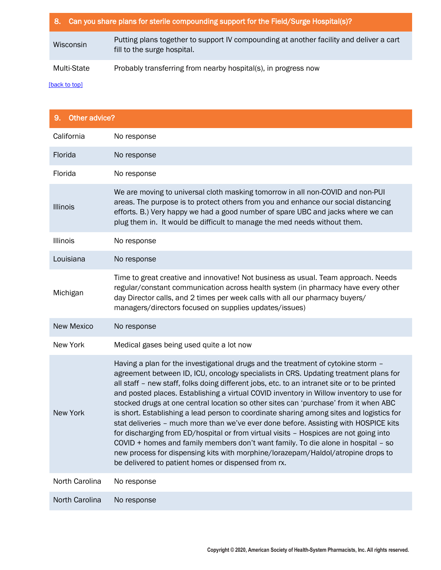|             | 8. Can you share plans for sterile compounding support for the Field/Surge Hospital(s)?                                |
|-------------|------------------------------------------------------------------------------------------------------------------------|
| Wisconsin   | Putting plans together to support IV compounding at another facility and deliver a cart<br>fill to the surge hospital. |
| Multi-State | Probably transferring from nearby hospital(s), in progress now                                                         |

<span id="page-12-0"></span>

| 9. Other advice?  |                                                                                                                                                                                                                                                                                                                                                                                                                                                                                                                                                                                                                                                                                                                                                                                                                                                                                                                                                                            |  |
|-------------------|----------------------------------------------------------------------------------------------------------------------------------------------------------------------------------------------------------------------------------------------------------------------------------------------------------------------------------------------------------------------------------------------------------------------------------------------------------------------------------------------------------------------------------------------------------------------------------------------------------------------------------------------------------------------------------------------------------------------------------------------------------------------------------------------------------------------------------------------------------------------------------------------------------------------------------------------------------------------------|--|
| California        | No response                                                                                                                                                                                                                                                                                                                                                                                                                                                                                                                                                                                                                                                                                                                                                                                                                                                                                                                                                                |  |
| Florida           | No response                                                                                                                                                                                                                                                                                                                                                                                                                                                                                                                                                                                                                                                                                                                                                                                                                                                                                                                                                                |  |
| Florida           | No response                                                                                                                                                                                                                                                                                                                                                                                                                                                                                                                                                                                                                                                                                                                                                                                                                                                                                                                                                                |  |
| <b>Illinois</b>   | We are moving to universal cloth masking tomorrow in all non-COVID and non-PUI<br>areas. The purpose is to protect others from you and enhance our social distancing<br>efforts. B.) Very happy we had a good number of spare UBC and jacks where we can<br>plug them in. It would be difficult to manage the med needs without them.                                                                                                                                                                                                                                                                                                                                                                                                                                                                                                                                                                                                                                      |  |
| <b>Illinois</b>   | No response                                                                                                                                                                                                                                                                                                                                                                                                                                                                                                                                                                                                                                                                                                                                                                                                                                                                                                                                                                |  |
| Louisiana         | No response                                                                                                                                                                                                                                                                                                                                                                                                                                                                                                                                                                                                                                                                                                                                                                                                                                                                                                                                                                |  |
| Michigan          | Time to great creative and innovative! Not business as usual. Team approach. Needs<br>regular/constant communication across health system (in pharmacy have every other<br>day Director calls, and 2 times per week calls with all our pharmacy buyers/<br>managers/directors focused on supplies updates/issues)                                                                                                                                                                                                                                                                                                                                                                                                                                                                                                                                                                                                                                                          |  |
| <b>New Mexico</b> | No response                                                                                                                                                                                                                                                                                                                                                                                                                                                                                                                                                                                                                                                                                                                                                                                                                                                                                                                                                                |  |
| New York          | Medical gases being used quite a lot now                                                                                                                                                                                                                                                                                                                                                                                                                                                                                                                                                                                                                                                                                                                                                                                                                                                                                                                                   |  |
| <b>New York</b>   | Having a plan for the investigational drugs and the treatment of cytokine storm -<br>agreement between ID, ICU, oncology specialists in CRS. Updating treatment plans for<br>all staff - new staff, folks doing different jobs, etc. to an intranet site or to be printed<br>and posted places. Establishing a virtual COVID inventory in Willow inventory to use for<br>stocked drugs at one central location so other sites can 'purchase' from it when ABC<br>is short. Establishing a lead person to coordinate sharing among sites and logistics for<br>stat deliveries - much more than we've ever done before. Assisting with HOSPICE kits<br>for discharging from ED/hospital or from virtual visits - Hospices are not going into<br>COVID + homes and family members don't want family. To die alone in hospital - so<br>new process for dispensing kits with morphine/lorazepam/Haldol/atropine drops to<br>be delivered to patient homes or dispensed from rx. |  |
| North Carolina    | No response                                                                                                                                                                                                                                                                                                                                                                                                                                                                                                                                                                                                                                                                                                                                                                                                                                                                                                                                                                |  |
| North Carolina    | No response                                                                                                                                                                                                                                                                                                                                                                                                                                                                                                                                                                                                                                                                                                                                                                                                                                                                                                                                                                |  |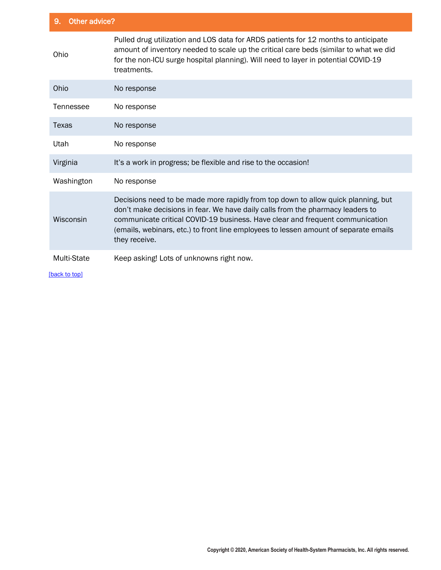| Other advice?<br>9. |                                                                                                                                                                                                                                                                                                                                                               |  |
|---------------------|---------------------------------------------------------------------------------------------------------------------------------------------------------------------------------------------------------------------------------------------------------------------------------------------------------------------------------------------------------------|--|
| Ohio                | Pulled drug utilization and LOS data for ARDS patients for 12 months to anticipate<br>amount of inventory needed to scale up the critical care beds (similar to what we did<br>for the non-ICU surge hospital planning). Will need to layer in potential COVID-19<br>treatments.                                                                              |  |
| Ohio                | No response                                                                                                                                                                                                                                                                                                                                                   |  |
| Tennessee           | No response                                                                                                                                                                                                                                                                                                                                                   |  |
| Texas               | No response                                                                                                                                                                                                                                                                                                                                                   |  |
| Utah                | No response                                                                                                                                                                                                                                                                                                                                                   |  |
| Virginia            | It's a work in progress; be flexible and rise to the occasion!                                                                                                                                                                                                                                                                                                |  |
| Washington          | No response                                                                                                                                                                                                                                                                                                                                                   |  |
| Wisconsin           | Decisions need to be made more rapidly from top down to allow quick planning, but<br>don't make decisions in fear. We have daily calls from the pharmacy leaders to<br>communicate critical COVID-19 business. Have clear and frequent communication<br>(emails, webinars, etc.) to front line employees to lessen amount of separate emails<br>they receive. |  |
| <b>Multi-State</b>  | Keep asking! Lots of unknowns right now.                                                                                                                                                                                                                                                                                                                      |  |
| [back to top]       |                                                                                                                                                                                                                                                                                                                                                               |  |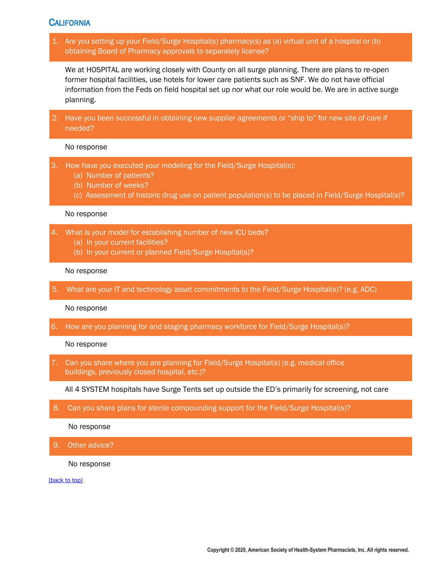# <span id="page-14-0"></span>**CALIFORNIA**

1. Are you setting up your Field/Surge Hospital(s) pharmacy(s) as (a) virtual unit of a hospital or (b) obtaining Board of Pharmacy approvals to separately license?

We at HOSPITAL are working closely with County on all surge planning. There are plans to re-open former hospital facilities, use hotels for lower care patients such as SNF. We do not have official information from the Feds on field hospital set up nor what our role would be. We are in active surge planning.

2. Have you been successful in obtaining new supplier agreements or "ship to" for new site of care if needed?

### No response

- 3. How have you executed your modeling for the Field/Surge Hospital(s):
	- (a) Number of patients?
	- (b) Number of weeks?
	- (c) Assessment of historic drug use on patient population(s) to be placed in Field/Surge Hospital(s)?

#### No response

- 4. What is your model for establishing number of new ICU beds?
	- (a) In your current facilities?
	- (b) In your current or planned Field/Surge Hospital(s)?

#### No response

5. What are your IT and technology asset commitments to the Field/Surge Hospital(s)? (e.g. ADC)

No response

6. How are you planning for and staging pharmacy workforce for Field/Surge Hospital(s)?

#### No response

7. Can you share where you are planning for Field/Surge Hospital(s) (e.g. medical office buildings, previously closed hospital, etc.)?

All 4 SYSTEM hospitals have Surge Tents set up outside the ED's primarily for screening, not care

8. Can you share plans for sterile compounding support for the Field/Surge Hospital(s)?

No response

9. Other advice?

No response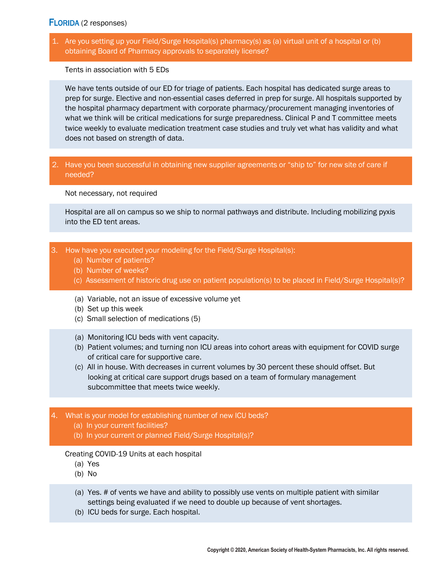# <span id="page-15-0"></span>FLORIDA (2 responses)

1. Are you setting up your Field/Surge Hospital(s) pharmacy(s) as (a) virtual unit of a hospital or (b) obtaining Board of Pharmacy approvals to separately license?

Tents in association with 5 EDs

We have tents outside of our ED for triage of patients. Each hospital has dedicated surge areas to prep for surge. Elective and non-essential cases deferred in prep for surge. All hospitals supported by the hospital pharmacy department with corporate pharmacy/procurement managing inventories of what we think will be critical medications for surge preparedness. Clinical P and T committee meets twice weekly to evaluate medication treatment case studies and truly vet what has validity and what does not based on strength of data.

## 2. Have you been successful in obtaining new supplier agreements or "ship to" for new site of care if needed?

Not necessary, not required

Hospital are all on campus so we ship to normal pathways and distribute. Including mobilizing pyxis into the ED tent areas.

- 3. How have you executed your modeling for the Field/Surge Hospital(s):
	- (a) Number of patients?
	- (b) Number of weeks?
	- (c) Assessment of historic drug use on patient population(s) to be placed in Field/Surge Hospital(s)?
	- (a) Variable, not an issue of excessive volume yet
	- (b) Set up this week
	- (c) Small selection of medications (5)
	- (a) Monitoring ICU beds with vent capacity.
	- (b) Patient volumes; and turning non ICU areas into cohort areas with equipment for COVID surge of critical care for supportive care.
	- (c) All in house. With decreases in current volumes by 30 percent these should offset. But looking at critical care support drugs based on a team of formulary management subcommittee that meets twice weekly.

### 4. What is your model for establishing number of new ICU beds?

- (a) In your current facilities?
- (b) In your current or planned Field/Surge Hospital(s)?

#### Creating COVID-19 Units at each hospital

- (a) Yes
- (b) No
- (a) Yes. # of vents we have and ability to possibly use vents on multiple patient with similar settings being evaluated if we need to double up because of vent shortages.
- (b) ICU beds for surge. Each hospital.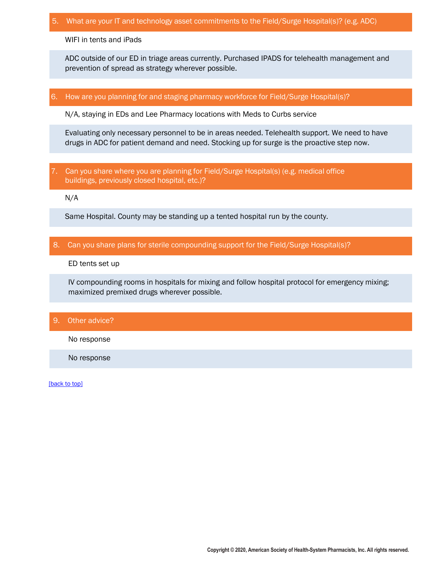### 5. What are your IT and technology asset commitments to the Field/Surge Hospital(s)? (e.g. ADC)

WIFI in tents and iPads

ADC outside of our ED in triage areas currently. Purchased IPADS for telehealth management and prevention of spread as strategy wherever possible.

### 6. How are you planning for and staging pharmacy workforce for Field/Surge Hospital(s)?

N/A, staying in EDs and Lee Pharmacy locations with Meds to Curbs service

Evaluating only necessary personnel to be in areas needed. Telehealth support. We need to have drugs in ADC for patient demand and need. Stocking up for surge is the proactive step now.

7. Can you share where you are planning for Field/Surge Hospital(s) (e.g. medical office buildings, previously closed hospital, etc.)?

N/A

Same Hospital. County may be standing up a tented hospital run by the county.

### 8. Can you share plans for sterile compounding support for the Field/Surge Hospital(s)?

ED tents set up

IV compounding rooms in hospitals for mixing and follow hospital protocol for emergency mixing; maximized premixed drugs wherever possible.

## 9. Other advice?

No response

No response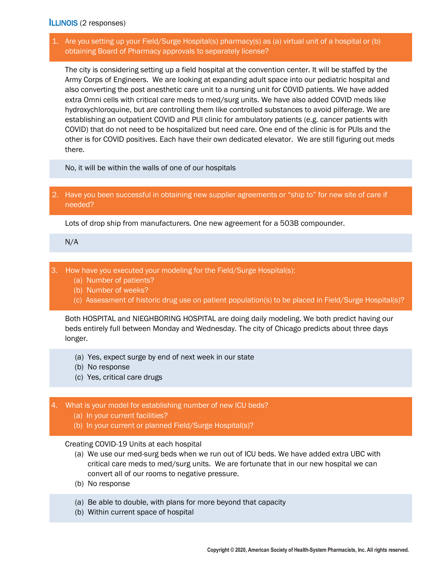## <span id="page-17-0"></span>ILLINOIS (2 responses)

# 1. Are you setting up your Field/Surge Hospital(s) pharmacy(s) as (a) virtual unit of a hospital or (b) obtaining Board of Pharmacy approvals to separately license?

The city is considering setting up a field hospital at the convention center. It will be staffed by the Army Corps of Engineers. We are looking at expanding adult space into our pediatric hospital and also converting the post anesthetic care unit to a nursing unit for COVID patients. We have added extra Omni cells with critical care meds to med/surg units. We have also added COVID meds like hydroxychloroquine, but are controlling them like controlled substances to avoid pilferage. We are establishing an outpatient COVID and PUI clinic for ambulatory patients (e.g. cancer patients with COVID) that do not need to be hospitalized but need care. One end of the clinic is for PUIs and the other is for COVID positives. Each have their own dedicated elevator. We are still figuring out meds there.

No, it will be within the walls of one of our hospitals

## 2. Have you been successful in obtaining new supplier agreements or "ship to" for new site of care if needed?

Lots of drop ship from manufacturers. One new agreement for a 503B compounder.

N/A

- 3. How have you executed your modeling for the Field/Surge Hospital(s):
	- (a) Number of patients?
	- (b) Number of weeks?
	- (c) Assessment of historic drug use on patient population(s) to be placed in Field/Surge Hospital(s)?

Both HOSPITAL and NIEGHBORING HOSPITAL are doing daily modeling. We both predict having our beds entirely full between Monday and Wednesday. The city of Chicago predicts about three days longer.

- (a) Yes, expect surge by end of next week in our state
- (b) No response
- (c) Yes, critical care drugs
- 4. What is your model for establishing number of new ICU beds?
	- (a) In your current facilities?
	- (b) In your current or planned Field/Surge Hospital(s)?

#### Creating COVID-19 Units at each hospital

- (a) We use our med-surg beds when we run out of ICU beds. We have added extra UBC with critical care meds to med/surg units. We are fortunate that in our new hospital we can convert all of our rooms to negative pressure.
- (b) No response
- (a) Be able to double, with plans for more beyond that capacity
- (b) Within current space of hospital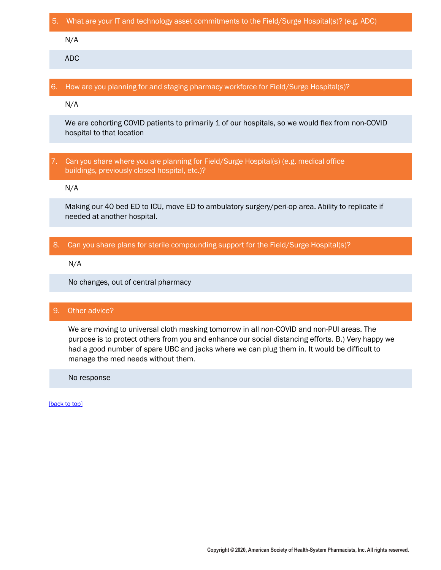### 5. What are your IT and technology asset commitments to the Field/Surge Hospital(s)? (e.g. ADC)

N/A

ADC

### 6. How are you planning for and staging pharmacy workforce for Field/Surge Hospital(s)?

N/A

We are cohorting COVID patients to primarily 1 of our hospitals, so we would flex from non-COVID hospital to that location

## 7. Can you share where you are planning for Field/Surge Hospital(s) (e.g. medical office buildings, previously closed hospital, etc.)?

N/A

Making our 40 bed ED to ICU, move ED to ambulatory surgery/peri-op area. Ability to replicate if needed at another hospital.

## 8. Can you share plans for sterile compounding support for the Field/Surge Hospital(s)?

N/A

No changes, out of central pharmacy

## 9. Other advice?

We are moving to universal cloth masking tomorrow in all non-COVID and non-PUI areas. The purpose is to protect others from you and enhance our social distancing efforts. B.) Very happy we had a good number of spare UBC and jacks where we can plug them in. It would be difficult to manage the med needs without them.

No response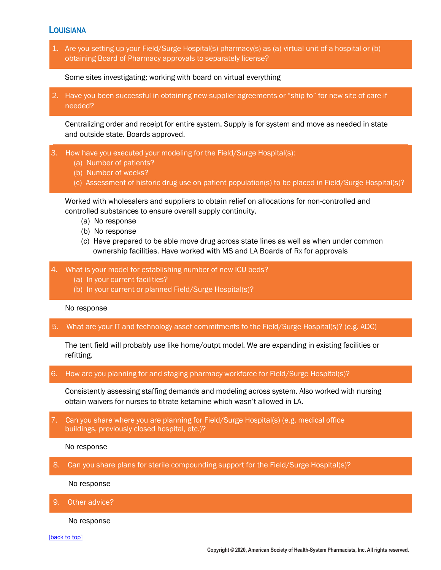## <span id="page-19-0"></span>**LOUISIANA**

1. Are you setting up your Field/Surge Hospital(s) pharmacy(s) as (a) virtual unit of a hospital or (b) obtaining Board of Pharmacy approvals to separately license?

Some sites investigating; working with board on virtual everything

2. Have you been successful in obtaining new supplier agreements or "ship to" for new site of care if needed?

Centralizing order and receipt for entire system. Supply is for system and move as needed in state and outside state. Boards approved.

- 3. How have you executed your modeling for the Field/Surge Hospital(s):
	- (a) Number of patients?
	- (b) Number of weeks?
	- (c) Assessment of historic drug use on patient population(s) to be placed in Field/Surge Hospital(s)?

Worked with wholesalers and suppliers to obtain relief on allocations for non-controlled and controlled substances to ensure overall supply continuity.

- (a) No response
- (b) No response
- (c) Have prepared to be able move drug across state lines as well as when under common ownership facilities. Have worked with MS and LA Boards of Rx for approvals
- 4. What is your model for establishing number of new ICU beds?
	- (a) In your current facilities?
	- (b) In your current or planned Field/Surge Hospital(s)?

No response

5. What are your IT and technology asset commitments to the Field/Surge Hospital(s)? (e.g. ADC)

The tent field will probably use like home/outpt model. We are expanding in existing facilities or refitting.

6. How are you planning for and staging pharmacy workforce for Field/Surge Hospital(s)?

Consistently assessing staffing demands and modeling across system. Also worked with nursing obtain waivers for nurses to titrate ketamine which wasn't allowed in LA.

7. Can you share where you are planning for Field/Surge Hospital(s) (e.g. medical office buildings, previously closed hospital, etc.)?

No response

8. Can you share plans for sterile compounding support for the Field/Surge Hospital(s)?

No response

9. Other advice?

No response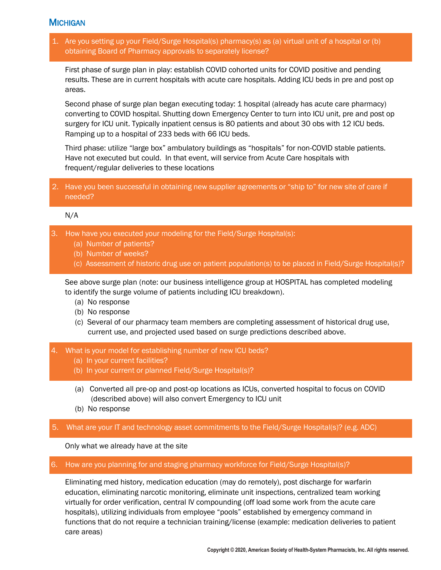# <span id="page-20-0"></span>**MICHIGAN**

1. Are you setting up your Field/Surge Hospital(s) pharmacy(s) as (a) virtual unit of a hospital or (b) obtaining Board of Pharmacy approvals to separately license?

First phase of surge plan in play: establish COVID cohorted units for COVID positive and pending results. These are in current hospitals with acute care hospitals. Adding ICU beds in pre and post op areas.

Second phase of surge plan began executing today: 1 hospital (already has acute care pharmacy) converting to COVID hospital. Shutting down Emergency Center to turn into ICU unit, pre and post op surgery for ICU unit. Typically inpatient census is 80 patients and about 30 obs with 12 ICU beds. Ramping up to a hospital of 233 beds with 66 ICU beds.

Third phase: utilize "large box" ambulatory buildings as "hospitals" for non-COVID stable patients. Have not executed but could. In that event, will service from Acute Care hospitals with frequent/regular deliveries to these locations

2. Have you been successful in obtaining new supplier agreements or "ship to" for new site of care if needed?

## N/A

- 3. How have you executed your modeling for the Field/Surge Hospital(s):
	- (a) Number of patients?
	- (b) Number of weeks?
	- (c) Assessment of historic drug use on patient population(s) to be placed in Field/Surge Hospital(s)?

See above surge plan (note: our business intelligence group at HOSPITAL has completed modeling to identify the surge volume of patients including ICU breakdown).

- (a) No response
- (b) No response
- (c) Several of our pharmacy team members are completing assessment of historical drug use, current use, and projected used based on surge predictions described above.
- 4. What is your model for establishing number of new ICU beds?
	- (a) In your current facilities?
	- (b) In your current or planned Field/Surge Hospital(s)?
	- (a) Converted all pre-op and post-op locations as ICUs, converted hospital to focus on COVID (described above) will also convert Emergency to ICU unit
	- (b) No response

## 5. What are your IT and technology asset commitments to the Field/Surge Hospital(s)? (e.g. ADC)

Only what we already have at the site

### 6. How are you planning for and staging pharmacy workforce for Field/Surge Hospital(s)?

Eliminating med history, medication education (may do remotely), post discharge for warfarin education, eliminating narcotic monitoring, eliminate unit inspections, centralized team working virtually for order verification, central IV compounding (off load some work from the acute care hospitals), utilizing individuals from employee "pools" established by emergency command in functions that do not require a technician training/license (example: medication deliveries to patient care areas)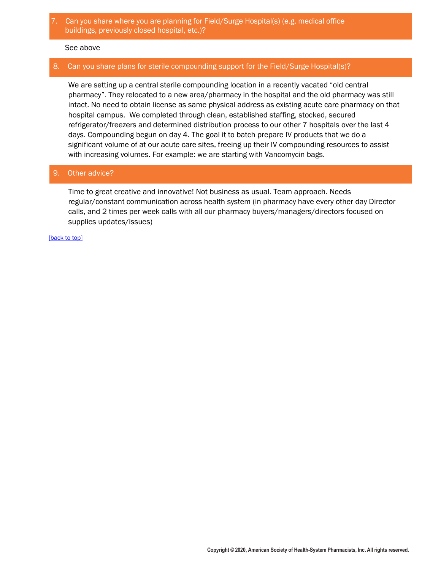## 7. Can you share where you are planning for Field/Surge Hospital(s) (e.g. medical office buildings, previously closed hospital, etc.)?

### See above

## 8. Can you share plans for sterile compounding support for the Field/Surge Hospital(s)?

We are setting up a central sterile compounding location in a recently vacated "old central pharmacy". They relocated to a new area/pharmacy in the hospital and the old pharmacy was still intact. No need to obtain license as same physical address as existing acute care pharmacy on that hospital campus. We completed through clean, established staffing, stocked, secured refrigerator/freezers and determined distribution process to our other 7 hospitals over the last 4 days. Compounding begun on day 4. The goal it to batch prepare IV products that we do a significant volume of at our acute care sites, freeing up their IV compounding resources to assist with increasing volumes. For example: we are starting with Vancomycin bags.

## 9. Other advice?

Time to great creative and innovative! Not business as usual. Team approach. Needs regular/constant communication across health system (in pharmacy have every other day Director calls, and 2 times per week calls with all our pharmacy buyers/managers/directors focused on supplies updates/issues)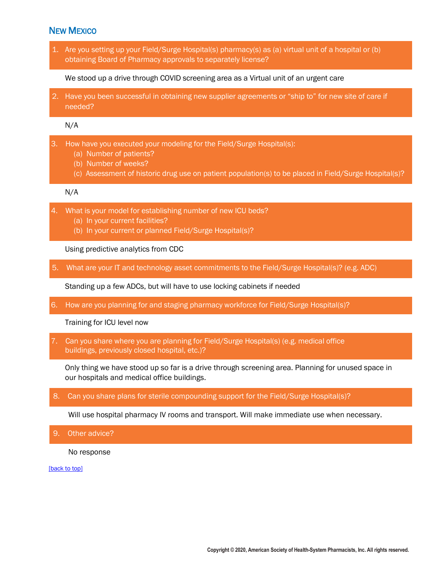# <span id="page-22-0"></span>NEW MEXICO

1. Are you setting up your Field/Surge Hospital(s) pharmacy(s) as (a) virtual unit of a hospital or (b) obtaining Board of Pharmacy approvals to separately license?

We stood up a drive through COVID screening area as a Virtual unit of an urgent care

2. Have you been successful in obtaining new supplier agreements or "ship to" for new site of care if needed?

N/A

- 3. How have you executed your modeling for the Field/Surge Hospital(s):
	- (a) Number of patients?
	- (b) Number of weeks?
	- (c) Assessment of historic drug use on patient population(s) to be placed in Field/Surge Hospital(s)?

### N/A

- 4. What is your model for establishing number of new ICU beds?
	- (a) In your current facilities?
	- (b) In your current or planned Field/Surge Hospital(s)?

Using predictive analytics from CDC

5. What are your IT and technology asset commitments to the Field/Surge Hospital(s)? (e.g. ADC)

Standing up a few ADCs, but will have to use locking cabinets if needed

6. How are you planning for and staging pharmacy workforce for Field/Surge Hospital(s)?

Training for ICU level now

7. Can you share where you are planning for Field/Surge Hospital(s) (e.g. medical office buildings, previously closed hospital, etc.)?

Only thing we have stood up so far is a drive through screening area. Planning for unused space in our hospitals and medical office buildings.

8. Can you share plans for sterile compounding support for the Field/Surge Hospital(s)?

Will use hospital pharmacy IV rooms and transport. Will make immediate use when necessary.

9. Other advice?

No response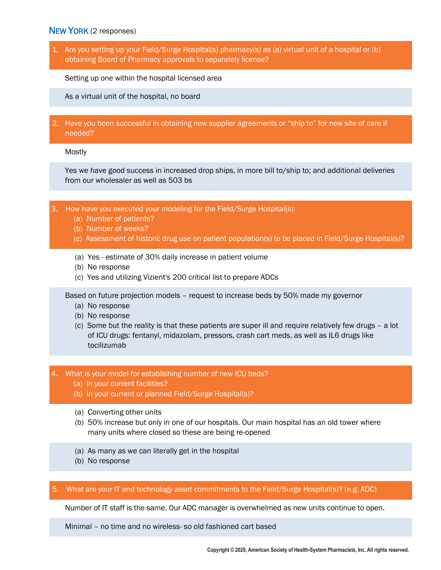# <span id="page-23-0"></span>NEW YORK (2 responses)

1. Are you setting up your Field/Surge Hospital(s) pharmacy(s) as (a) virtual unit of a hospital or (b) obtaining Board of Pharmacy approvals to separately license?

Setting up one within the hospital licensed area

As a virtual unit of the hospital, no board

2. Have you been successful in obtaining new supplier agreements or "ship to" for new site of care if needed?

Mostly

Yes we have good success in increased drop ships, in more bill to/ship to; and additional deliveries from our wholesaler as well as 503 bs

- 3. How have you executed your modeling for the Field/Surge Hospital(s):
	- (a) Number of patients?
	- (b) Number of weeks?
	- (c) Assessment of historic drug use on patient population(s) to be placed in Field/Surge Hospital(s)?
	- (a) Yes estimate of 30% daily increase in patient volume
	- (b) No response
	- (c) Yes and utilizing Vizient's 200 critical list to prepare ADCs

Based on future projection models – request to increase beds by 50% made my governor

- (a) No response
- (b) No response
- (c) Some but the reality is that these patients are super ill and require relatively few drugs a lot of ICU drugs: fentanyl, midazolam, pressors, crash cart meds, as well as IL6 drugs like tocilizumab
- 4. What is your model for establishing number of new ICU beds?
	- (a) In your current facilities?
	- (b) In your current or planned Field/Surge Hospital(s)?
	- (a) Converting other units
	- (b) 50% increase but only in one of our hospitals. Our main hospital has an old tower where many units where closed so these are being re-opened
	- (a) As many as we can literally get in the hospital
	- (b) No response
- 5. What are your IT and technology asset commitments to the Field/Surge Hospital(s)? (e.g. ADC)

Number of IT staff is the same. Our ADC manager is overwhelmed as new units continue to open.

Minimal – no time and no wireless- so old fashioned cart based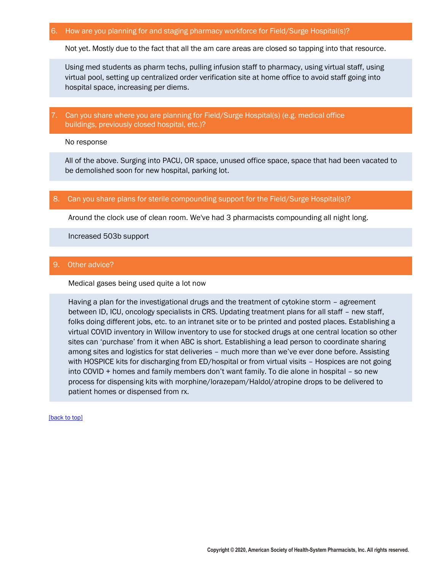### 6. How are you planning for and staging pharmacy workforce for Field/Surge Hospital(s)?

Not yet. Mostly due to the fact that all the am care areas are closed so tapping into that resource.

Using med students as pharm techs, pulling infusion staff to pharmacy, using virtual staff, using virtual pool, setting up centralized order verification site at home office to avoid staff going into hospital space, increasing per diems.

## 7. Can you share where you are planning for Field/Surge Hospital(s) (e.g. medical office buildings, previously closed hospital, etc.)?

No response

All of the above. Surging into PACU, OR space, unused office space, space that had been vacated to be demolished soon for new hospital, parking lot.

### 8. Can you share plans for sterile compounding support for the Field/Surge Hospital(s)?

Around the clock use of clean room. We've had 3 pharmacists compounding all night long.

Increased 503b support

### 9. Other advice?

Medical gases being used quite a lot now

Having a plan for the investigational drugs and the treatment of cytokine storm – agreement between ID, ICU, oncology specialists in CRS. Updating treatment plans for all staff – new staff, folks doing different jobs, etc. to an intranet site or to be printed and posted places. Establishing a virtual COVID inventory in Willow inventory to use for stocked drugs at one central location so other sites can 'purchase' from it when ABC is short. Establishing a lead person to coordinate sharing among sites and logistics for stat deliveries – much more than we've ever done before. Assisting with HOSPICE kits for discharging from ED/hospital or from virtual visits – Hospices are not going into COVID + homes and family members don't want family. To die alone in hospital – so new process for dispensing kits with morphine/lorazepam/Haldol/atropine drops to be delivered to patient homes or dispensed from rx.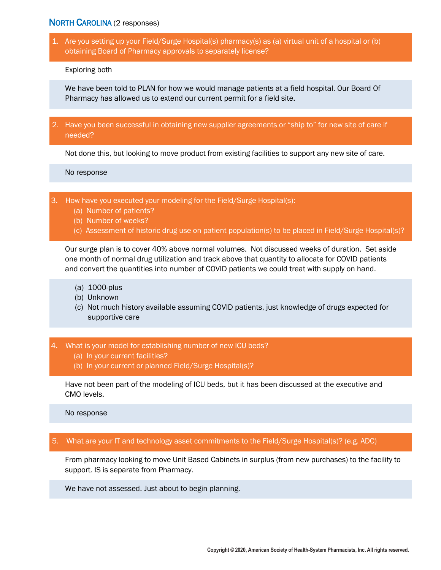## <span id="page-25-0"></span>NORTH CAROLINA (2 responses)

1. Are you setting up your Field/Surge Hospital(s) pharmacy(s) as (a) virtual unit of a hospital or (b) obtaining Board of Pharmacy approvals to separately license?

Exploring both

We have been told to PLAN for how we would manage patients at a field hospital. Our Board Of Pharmacy has allowed us to extend our current permit for a field site.

2. Have you been successful in obtaining new supplier agreements or "ship to" for new site of care if needed?

Not done this, but looking to move product from existing facilities to support any new site of care.

No response

3. How have you executed your modeling for the Field/Surge Hospital(s):

- (a) Number of patients?
- (b) Number of weeks?
- (c) Assessment of historic drug use on patient population(s) to be placed in Field/Surge Hospital(s)?

Our surge plan is to cover 40% above normal volumes. Not discussed weeks of duration. Set aside one month of normal drug utilization and track above that quantity to allocate for COVID patients and convert the quantities into number of COVID patients we could treat with supply on hand.

- (a) 1000-plus
- (b) Unknown
- (c) Not much history available assuming COVID patients, just knowledge of drugs expected for supportive care
- 4. What is your model for establishing number of new ICU beds?
	- (a) In your current facilities?
	- (b) In your current or planned Field/Surge Hospital(s)?

Have not been part of the modeling of ICU beds, but it has been discussed at the executive and CMO levels.

No response

## 5. What are your IT and technology asset commitments to the Field/Surge Hospital(s)? (e.g. ADC)

From pharmacy looking to move Unit Based Cabinets in surplus (from new purchases) to the facility to support. IS is separate from Pharmacy.

We have not assessed. Just about to begin planning.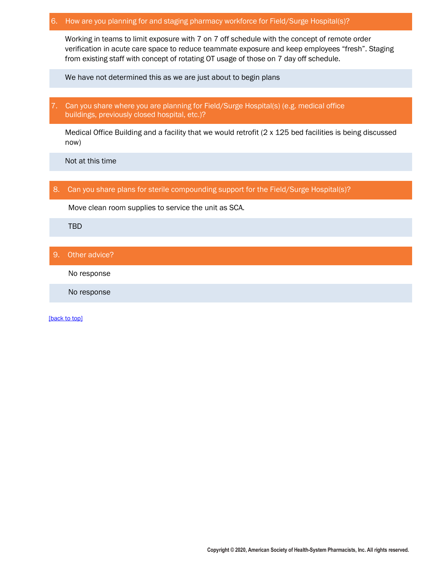## 6. How are you planning for and staging pharmacy workforce for Field/Surge Hospital(s)?

Working in teams to limit exposure with 7 on 7 off schedule with the concept of remote order verification in acute care space to reduce teammate exposure and keep employees "fresh". Staging from existing staff with concept of rotating OT usage of those on 7 day off schedule.

We have not determined this as we are just about to begin plans

7. Can you share where you are planning for Field/Surge Hospital(s) (e.g. medical office buildings, previously closed hospital, etc.)?

Medical Office Building and a facility that we would retrofit (2 x 125 bed facilities is being discussed now)

Not at this time

## 8. Can you share plans for sterile compounding support for the Field/Surge Hospital(s)?

Move clean room supplies to service the unit as SCA.

TBD

## 9. Other advice?

No response

No response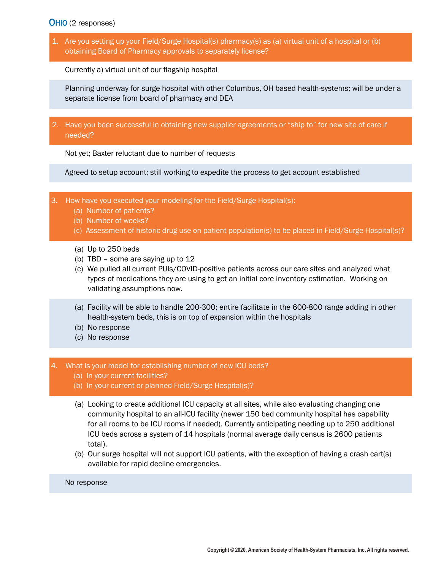## <span id="page-27-0"></span>OHIO (2 responses)

1. Are you setting up your Field/Surge Hospital(s) pharmacy(s) as (a) virtual unit of a hospital or (b) obtaining Board of Pharmacy approvals to separately license?

Currently a) virtual unit of our flagship hospital

Planning underway for surge hospital with other Columbus, OH based health-systems; will be under a separate license from board of pharmacy and DEA

2. Have you been successful in obtaining new supplier agreements or "ship to" for new site of care if needed?

Not yet; Baxter reluctant due to number of requests

Agreed to setup account; still working to expedite the process to get account established

- 3. How have you executed your modeling for the Field/Surge Hospital(s):
	- (a) Number of patients?
	- (b) Number of weeks?
	- (c) Assessment of historic drug use on patient population(s) to be placed in Field/Surge Hospital(s)?
	- (a) Up to 250 beds
	- (b) TBD some are saying up to 12
	- (c) We pulled all current PUIs/COVID-positive patients across our care sites and analyzed what types of medications they are using to get an initial core inventory estimation. Working on validating assumptions now.
	- (a) Facility will be able to handle 200-300; entire facilitate in the 600-800 range adding in other health-system beds, this is on top of expansion within the hospitals
	- (b) No response
	- (c) No response

### 4. What is your model for establishing number of new ICU beds?

- (a) In your current facilities?
- (b) In your current or planned Field/Surge Hospital(s)?
- (a) Looking to create additional ICU capacity at all sites, while also evaluating changing one community hospital to an all-ICU facility (newer 150 bed community hospital has capability for all rooms to be ICU rooms if needed). Currently anticipating needing up to 250 additional ICU beds across a system of 14 hospitals (normal average daily census is 2600 patients total).
- (b) Our surge hospital will not support ICU patients, with the exception of having a crash cart(s) available for rapid decline emergencies.

No response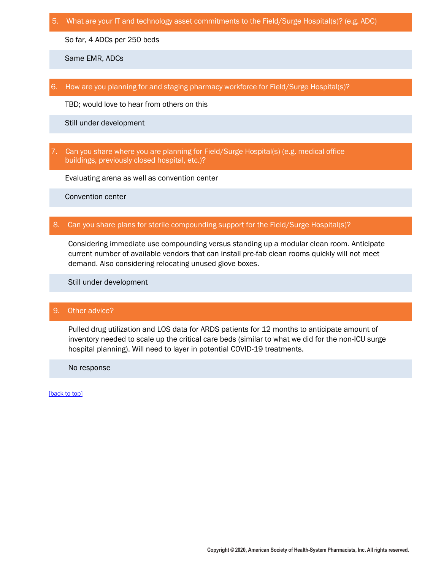5. What are your IT and technology asset commitments to the Field/Surge Hospital(s)? (e.g. ADC)

So far, 4 ADCs per 250 beds

Same EMR, ADCs

6. How are you planning for and staging pharmacy workforce for Field/Surge Hospital(s)?

TBD; would love to hear from others on this

Still under development

7. Can you share where you are planning for Field/Surge Hospital(s) (e.g. medical office buildings, previously closed hospital, etc.)?

Evaluating arena as well as convention center

Convention center

### 8. Can you share plans for sterile compounding support for the Field/Surge Hospital(s)?

Considering immediate use compounding versus standing up a modular clean room. Anticipate current number of available vendors that can install pre-fab clean rooms quickly will not meet demand. Also considering relocating unused glove boxes.

Still under development

### 9. Other advice?

Pulled drug utilization and LOS data for ARDS patients for 12 months to anticipate amount of inventory needed to scale up the critical care beds (similar to what we did for the non-ICU surge hospital planning). Will need to layer in potential COVID-19 treatments.

No response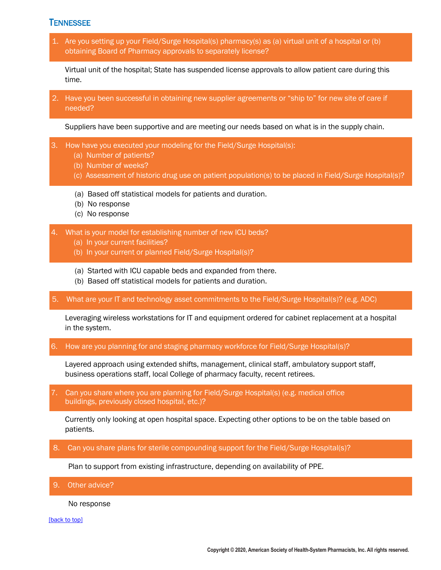# <span id="page-29-0"></span>**TENNESSEE**

1. Are you setting up your Field/Surge Hospital(s) pharmacy(s) as (a) virtual unit of a hospital or (b) obtaining Board of Pharmacy approvals to separately license?

Virtual unit of the hospital; State has suspended license approvals to allow patient care during this time.

2. Have you been successful in obtaining new supplier agreements or "ship to" for new site of care if needed?

Suppliers have been supportive and are meeting our needs based on what is in the supply chain.

- 3. How have you executed your modeling for the Field/Surge Hospital(s):
	- (a) Number of patients?
	- (b) Number of weeks?
	- (c) Assessment of historic drug use on patient population(s) to be placed in Field/Surge Hospital(s)?
	- (a) Based off statistical models for patients and duration.
	- (b) No response
	- (c) No response
- 4. What is your model for establishing number of new ICU beds?
	- (a) In your current facilities?
	- (b) In your current or planned Field/Surge Hospital(s)?
	- (a) Started with ICU capable beds and expanded from there.
	- (b) Based off statistical models for patients and duration.
- 5. What are your IT and technology asset commitments to the Field/Surge Hospital(s)? (e.g. ADC)

Leveraging wireless workstations for IT and equipment ordered for cabinet replacement at a hospital in the system.

6. How are you planning for and staging pharmacy workforce for Field/Surge Hospital(s)?

Layered approach using extended shifts, management, clinical staff, ambulatory support staff, business operations staff, local College of pharmacy faculty, recent retirees.

7. Can you share where you are planning for Field/Surge Hospital(s) (e.g. medical office buildings, previously closed hospital, etc.)?

Currently only looking at open hospital space. Expecting other options to be on the table based on patients.

8. Can you share plans for sterile compounding support for the Field/Surge Hospital(s)?

Plan to support from existing infrastructure, depending on availability of PPE.

9. Other advice?

No response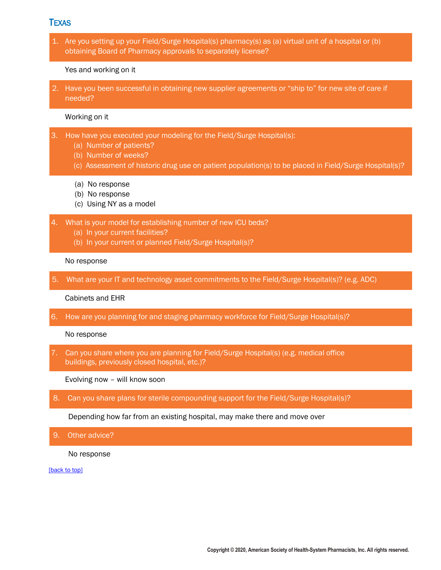## <span id="page-30-0"></span>TEXAS

1. Are you setting up your Field/Surge Hospital(s) pharmacy(s) as (a) virtual unit of a hospital or (b) obtaining Board of Pharmacy approvals to separately license?

#### Yes and working on it

2. Have you been successful in obtaining new supplier agreements or "ship to" for new site of care if needed?

## Working on it

- 3. How have you executed your modeling for the Field/Surge Hospital(s):
	- (a) Number of patients?
	- (b) Number of weeks?
	- (c) Assessment of historic drug use on patient population(s) to be placed in Field/Surge Hospital(s)?
	- (a) No response
	- (b) No response
	- (c) Using NY as a model
- 4. What is your model for establishing number of new ICU beds?
	- (a) In your current facilities?
	- (b) In your current or planned Field/Surge Hospital(s)?

### No response

5. What are your IT and technology asset commitments to the Field/Surge Hospital(s)? (e.g. ADC)

#### Cabinets and EHR

6. How are you planning for and staging pharmacy workforce for Field/Surge Hospital(s)?

No response

7. Can you share where you are planning for Field/Surge Hospital(s) (e.g. medical office buildings, previously closed hospital, etc.)?

Evolving now – will know soon

8. Can you share plans for sterile compounding support for the Field/Surge Hospital(s)?

Depending how far from an existing hospital, may make there and move over

#### 9. Other advice?

No response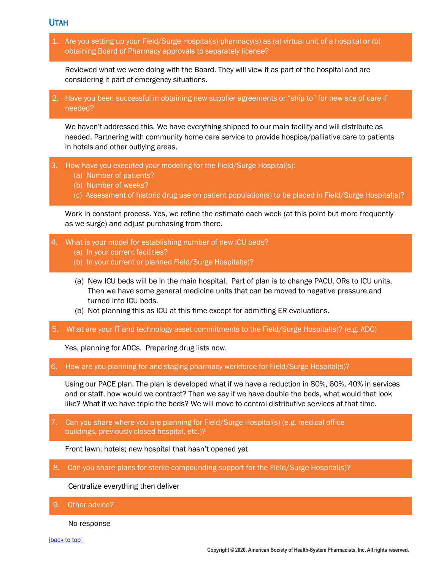<span id="page-31-0"></span>UTAH

1. Are you setting up your Field/Surge Hospital(s) pharmacy(s) as (a) virtual unit of a hospital or (b) obtaining Board of Pharmacy approvals to separately license?

Reviewed what we were doing with the Board. They will view it as part of the hospital and are considering it part of emergency situations.

2. Have you been successful in obtaining new supplier agreements or "ship to" for new site of care if needed?

We haven't addressed this. We have everything shipped to our main facility and will distribute as needed. Partnering with community home care service to provide hospice/palliative care to patients in hotels and other outlying areas.

- 3. How have you executed your modeling for the Field/Surge Hospital(s):
	- (a) Number of patients?
	- (b) Number of weeks?
	- (c) Assessment of historic drug use on patient population(s) to be placed in Field/Surge Hospital(s)?

Work in constant process. Yes, we refine the estimate each week (at this point but more frequently as we surge) and adjust purchasing from there.

- 4. What is your model for establishing number of new ICU beds?
	- (a) In your current facilities?
	- (b) In your current or planned Field/Surge Hospital(s)?
	- (a) New ICU beds will be in the main hospital. Part of plan is to change PACU, ORs to ICU units. Then we have some general medicine units that can be moved to negative pressure and turned into ICU beds.
	- (b) Not planning this as ICU at this time except for admitting ER evaluations.
- 5. What are your IT and technology asset commitments to the Field/Surge Hospital(s)? (e.g. ADC)

Yes, planning for ADCs. Preparing drug lists now.

6. How are you planning for and staging pharmacy workforce for Field/Surge Hospital(s)?

Using our PACE plan. The plan is developed what if we have a reduction in 80%, 60%, 40% in services and or staff, how would we contract? Then we say if we have double the beds, what would that look like? What if we have triple the beds? We will move to central distributive services at that time.

7. Can you share where you are planning for Field/Surge Hospital(s) (e.g. medical office buildings, previously closed hospital, etc.)?

Front lawn; hotels; new hospital that hasn't opened yet

8. Can you share plans for sterile compounding support for the Field/Surge Hospital(s)?

Centralize everything then deliver

9. Other advice?

No response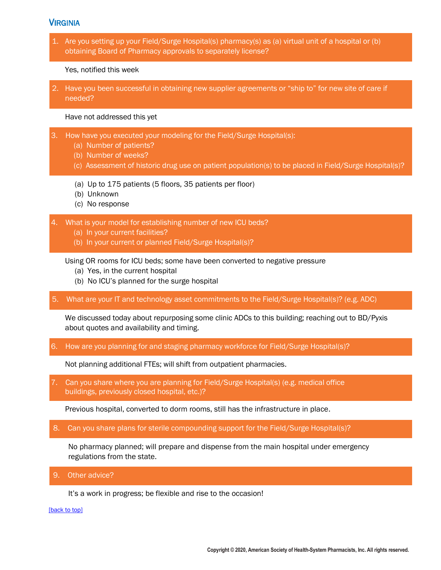# <span id="page-32-0"></span>*VIRGINIA*

1. Are you setting up your Field/Surge Hospital(s) pharmacy(s) as (a) virtual unit of a hospital or (b) obtaining Board of Pharmacy approvals to separately license?

Yes, notified this week

2. Have you been successful in obtaining new supplier agreements or "ship to" for new site of care if needed?

Have not addressed this yet

- 3. How have you executed your modeling for the Field/Surge Hospital(s):
	- (a) Number of patients?
	- (b) Number of weeks?
	- (c) Assessment of historic drug use on patient population(s) to be placed in Field/Surge Hospital(s)?
	- (a) Up to 175 patients (5 floors, 35 patients per floor)
	- (b) Unknown
	- (c) No response

4. What is your model for establishing number of new ICU beds?

- (a) In your current facilities?
- (b) In your current or planned Field/Surge Hospital(s)?

Using OR rooms for ICU beds; some have been converted to negative pressure

- (a) Yes, in the current hospital
- (b) No ICU's planned for the surge hospital
- 5. What are your IT and technology asset commitments to the Field/Surge Hospital(s)? (e.g. ADC)

We discussed today about repurposing some clinic ADCs to this building; reaching out to BD/Pyxis about quotes and availability and timing.

6. How are you planning for and staging pharmacy workforce for Field/Surge Hospital(s)?

Not planning additional FTEs; will shift from outpatient pharmacies.

7. Can you share where you are planning for Field/Surge Hospital(s) (e.g. medical office buildings, previously closed hospital, etc.)?

Previous hospital, converted to dorm rooms, still has the infrastructure in place.

8. Can you share plans for sterile compounding support for the Field/Surge Hospital(s)?

No pharmacy planned; will prepare and dispense from the main hospital under emergency regulations from the state.

9. Other advice?

It's a work in progress; be flexible and rise to the occasion!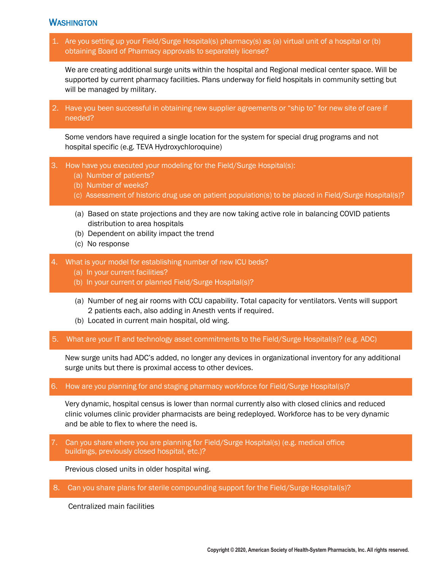# <span id="page-33-0"></span>WASHINGTON

1. Are you setting up your Field/Surge Hospital(s) pharmacy(s) as (a) virtual unit of a hospital or (b) obtaining Board of Pharmacy approvals to separately license?

We are creating additional surge units within the hospital and Regional medical center space. Will be supported by current pharmacy facilities. Plans underway for field hospitals in community setting but will be managed by military.

2. Have you been successful in obtaining new supplier agreements or "ship to" for new site of care if needed?

Some vendors have required a single location for the system for special drug programs and not hospital specific (e.g. TEVA Hydroxychloroquine)

- 3. How have you executed your modeling for the Field/Surge Hospital(s):
	- (a) Number of patients?
	- (b) Number of weeks?
	- (c) Assessment of historic drug use on patient population(s) to be placed in Field/Surge Hospital(s)?
	- (a) Based on state projections and they are now taking active role in balancing COVID patients distribution to area hospitals
	- (b) Dependent on ability impact the trend
	- (c) No response
- 4. What is your model for establishing number of new ICU beds?
	- (a) In your current facilities?
	- (b) In your current or planned Field/Surge Hospital(s)?
	- (a) Number of neg air rooms with CCU capability. Total capacity for ventilators. Vents will support 2 patients each, also adding in Anesth vents if required.
	- (b) Located in current main hospital, old wing.
- 5. What are your IT and technology asset commitments to the Field/Surge Hospital(s)? (e.g. ADC)

New surge units had ADC's added, no longer any devices in organizational inventory for any additional surge units but there is proximal access to other devices.

### 6. How are you planning for and staging pharmacy workforce for Field/Surge Hospital(s)?

Very dynamic, hospital census is lower than normal currently also with closed clinics and reduced clinic volumes clinic provider pharmacists are being redeployed. Workforce has to be very dynamic and be able to flex to where the need is.

7. Can you share where you are planning for Field/Surge Hospital(s) (e.g. medical office buildings, previously closed hospital, etc.)?

Previous closed units in older hospital wing.

8. Can you share plans for sterile compounding support for the Field/Surge Hospital(s)?

Centralized main facilities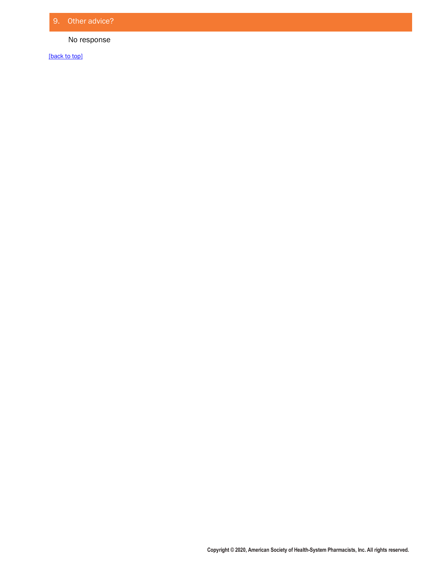## No response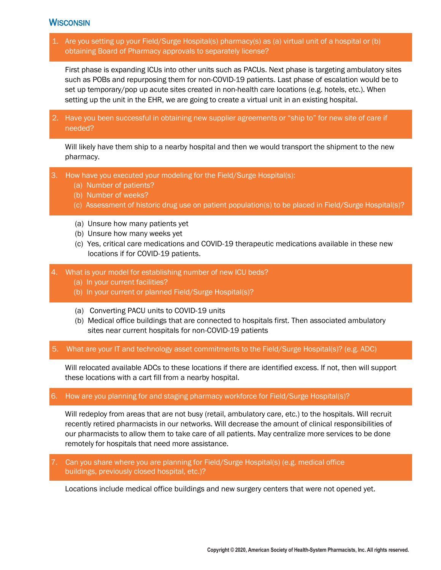# <span id="page-35-0"></span>**WISCONSIN**

1. Are you setting up your Field/Surge Hospital(s) pharmacy(s) as (a) virtual unit of a hospital or (b) obtaining Board of Pharmacy approvals to separately license?

First phase is expanding ICUs into other units such as PACUs. Next phase is targeting ambulatory sites such as POBs and repurposing them for non-COVID-19 patients. Last phase of escalation would be to set up temporary/pop up acute sites created in non-health care locations (e.g. hotels, etc.). When setting up the unit in the EHR, we are going to create a virtual unit in an existing hospital.

2. Have you been successful in obtaining new supplier agreements or "ship to" for new site of care if needed?

Will likely have them ship to a nearby hospital and then we would transport the shipment to the new pharmacy.

- 3. How have you executed your modeling for the Field/Surge Hospital(s):
	- (a) Number of patients?
	- (b) Number of weeks?
	- (c) Assessment of historic drug use on patient population(s) to be placed in Field/Surge Hospital(s)?
	- (a) Unsure how many patients yet
	- (b) Unsure how many weeks yet
	- (c) Yes, critical care medications and COVID-19 therapeutic medications available in these new locations if for COVID-19 patients.
- 4. What is your model for establishing number of new ICU beds?
	- (a) In your current facilities?
	- (b) In your current or planned Field/Surge Hospital(s)?
	- (a) Converting PACU units to COVID-19 units
	- (b) Medical office buildings that are connected to hospitals first. Then associated ambulatory sites near current hospitals for non-COVID-19 patients
- 5. What are your IT and technology asset commitments to the Field/Surge Hospital(s)? (e.g. ADC)

Will relocated available ADCs to these locations if there are identified excess. If not, then will support these locations with a cart fill from a nearby hospital.

### 6. How are you planning for and staging pharmacy workforce for Field/Surge Hospital(s)?

Will redeploy from areas that are not busy (retail, ambulatory care, etc.) to the hospitals. Will recruit recently retired pharmacists in our networks. Will decrease the amount of clinical responsibilities of our pharmacists to allow them to take care of all patients. May centralize more services to be done remotely for hospitals that need more assistance.

7. Can you share where you are planning for Field/Surge Hospital(s) (e.g. medical office buildings, previously closed hospital, etc.)?

Locations include medical office buildings and new surgery centers that were not opened yet.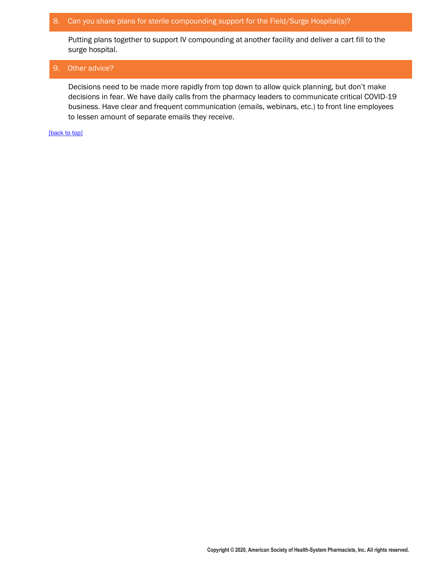## 8. Can you share plans for sterile compounding support for the Field/Surge Hospital(s)?

Putting plans together to support IV compounding at another facility and deliver a cart fill to the surge hospital.

## 9. Other advice?

Decisions need to be made more rapidly from top down to allow quick planning, but don't make decisions in fear. We have daily calls from the pharmacy leaders to communicate critical COVID-19 business. Have clear and frequent communication (emails, webinars, etc.) to front line employees to lessen amount of separate emails they receive.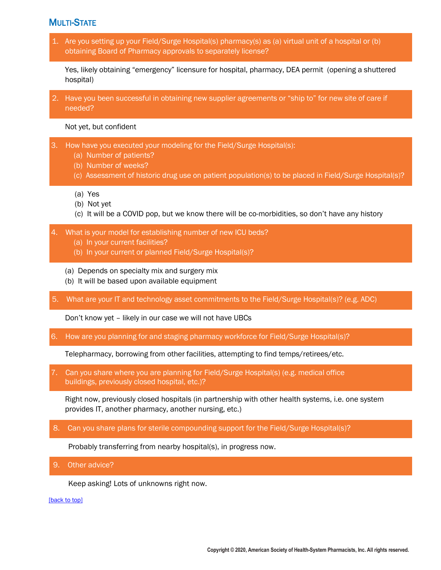# <span id="page-37-0"></span>MULTI-STATE

1. Are you setting up your Field/Surge Hospital(s) pharmacy(s) as (a) virtual unit of a hospital or (b) obtaining Board of Pharmacy approvals to separately license?

Yes, likely obtaining "emergency" licensure for hospital, pharmacy, DEA permit (opening a shuttered hospital)

2. Have you been successful in obtaining new supplier agreements or "ship to" for new site of care if needed?

Not yet, but confident

- 3. How have you executed your modeling for the Field/Surge Hospital(s):
	- (a) Number of patients?
	- (b) Number of weeks?
	- (c) Assessment of historic drug use on patient population(s) to be placed in Field/Surge Hospital(s)?
	- (a) Yes
	- (b) Not yet
	- (c) It will be a COVID pop, but we know there will be co-morbidities, so don't have any history
- 4. What is your model for establishing number of new ICU beds?
	- (a) In your current facilities?
	- (b) In your current or planned Field/Surge Hospital(s)?
	- (a) Depends on specialty mix and surgery mix
	- (b) It will be based upon available equipment
- 5. What are your IT and technology asset commitments to the Field/Surge Hospital(s)? (e.g. ADC)

Don't know yet – likely in our case we will not have UBCs

6. How are you planning for and staging pharmacy workforce for Field/Surge Hospital(s)?

Telepharmacy, borrowing from other facilities, attempting to find temps/retirees/etc.

7. Can you share where you are planning for Field/Surge Hospital(s) (e.g. medical office buildings, previously closed hospital, etc.)?

Right now, previously closed hospitals (in partnership with other health systems, i.e. one system provides IT, another pharmacy, another nursing, etc.)

8. Can you share plans for sterile compounding support for the Field/Surge Hospital(s)?

Probably transferring from nearby hospital(s), in progress now.

9. Other advice?

Keep asking! Lots of unknowns right now.